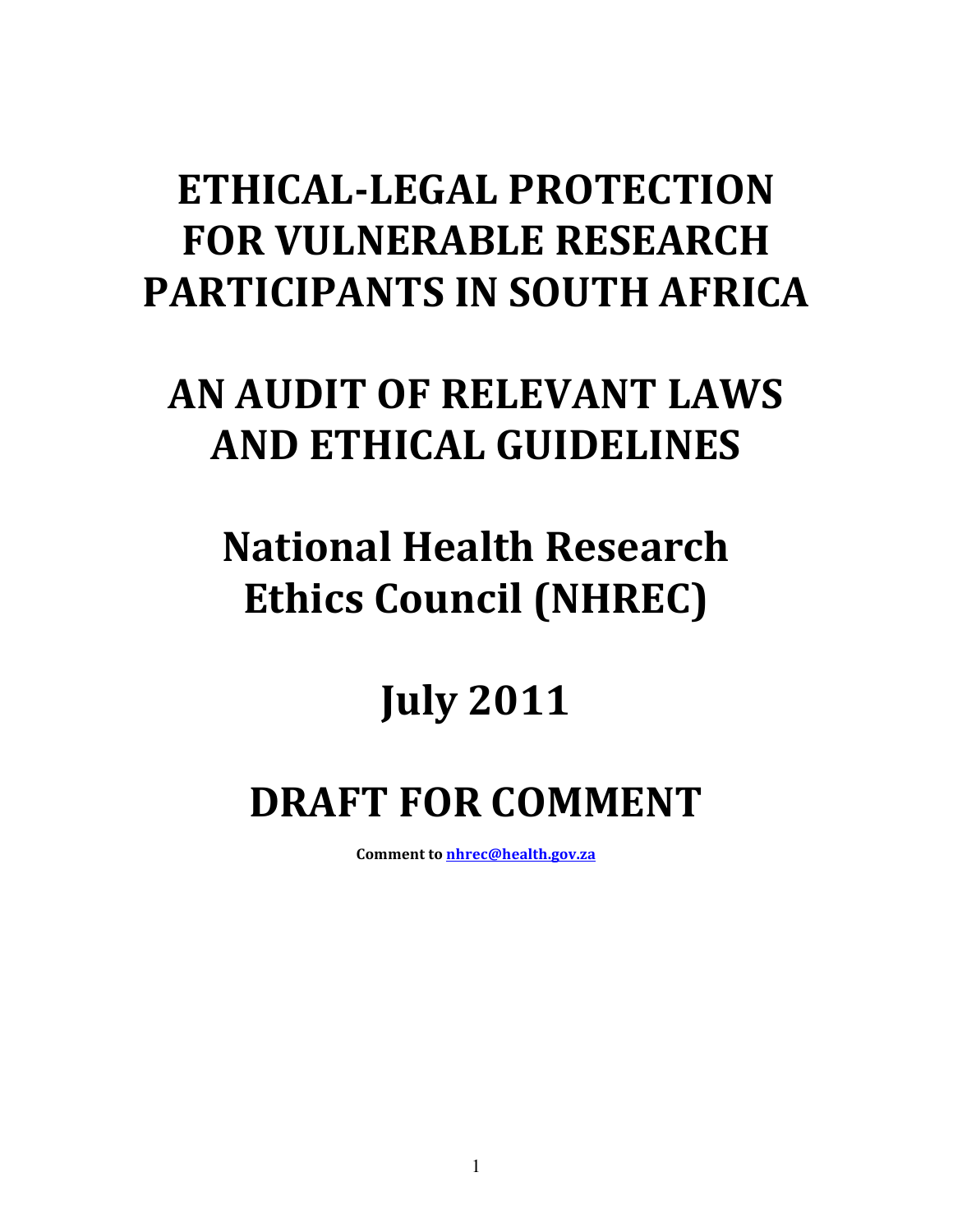# ETHICAL-LEGAL PROTECTION FOR VULNERABLE RESEARCH PARTICIPANTS IN SOUTH AFRICA

# AN AUDIT OF RELEVANT LAWS AND ETHICAL GUIDELINES

# National Health Research Ethics Council (NHREC)

# July 2011

# DRAFT FOR COMMENT

Comment to nhrec@health.gov.za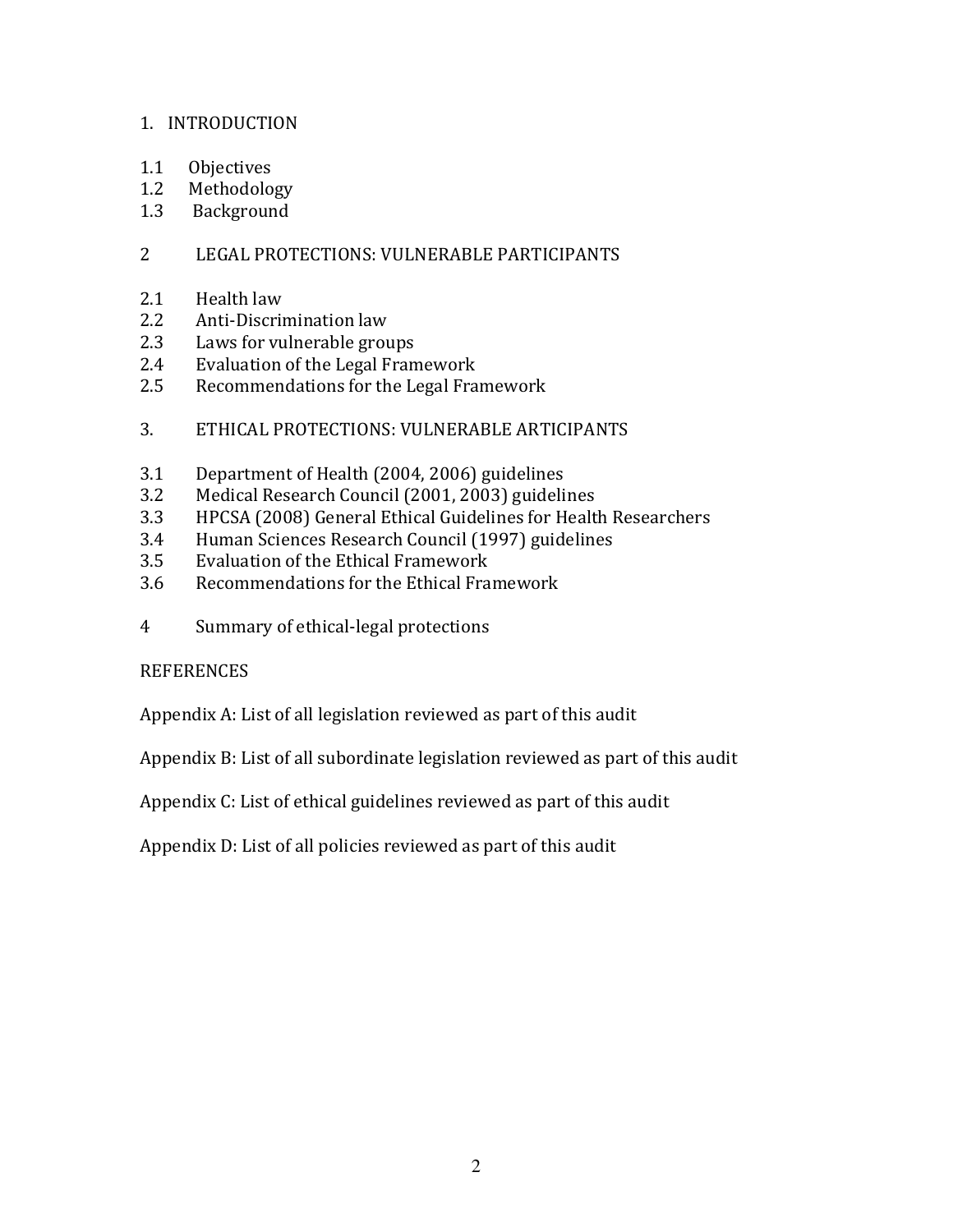#### 1. INTRODUCTION

- 1.1 Objectives
- 1.2 Methodology
- 1.3 Background

### 2 LEGAL PROTECTIONS: VULNERABLE PARTICIPANTS

- 2.1 Health law<br>2.2 Anti-Discrii
- Anti-Discrimination law
- 2.3 Laws for vulnerable groups
- 2.4 Evaluation of the Legal Framework
- 2.5 Recommendations for the Legal Framework
- 3. ETHICAL PROTECTIONS: VULNERABLE ARTICIPANTS
- 3.1 Department of Health (2004, 2006) guidelines
- 3.2 Medical Research Council (2001, 2003) guidelines
- 3.3 HPCSA (2008) General Ethical Guidelines for Health Researchers
- 3.4 Human Sciences Research Council (1997) guidelines
- 3.5 Evaluation of the Ethical Framework
- 3.6 Recommendations for the Ethical Framework
- 4 Summary of ethical-legal protections

#### **REFERENCES**

Appendix A: List of all legislation reviewed as part of this audit

Appendix B: List of all subordinate legislation reviewed as part of this audit

Appendix C: List of ethical guidelines reviewed as part of this audit

Appendix D: List of all policies reviewed as part of this audit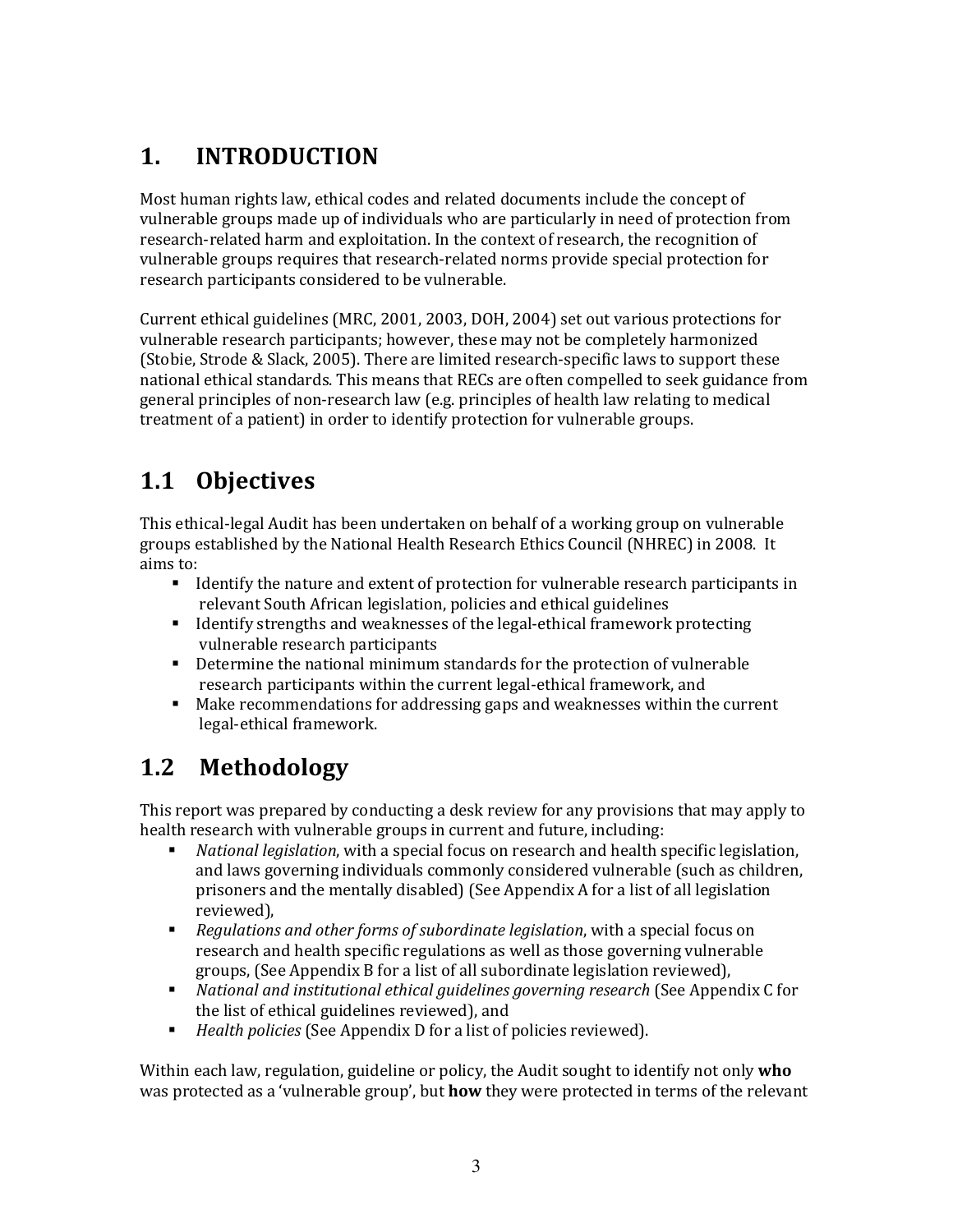## 1. INTRODUCTION

Most human rights law, ethical codes and related documents include the concept of vulnerable groups made up of individuals who are particularly in need of protection from research-related harm and exploitation. In the context of research, the recognition of vulnerable groups requires that research-related norms provide special protection for research participants considered to be vulnerable.

Current ethical guidelines (MRC, 2001, 2003, DOH, 2004) set out various protections for vulnerable research participants; however, these may not be completely harmonized (Stobie, Strode & Slack, 2005). There are limited research-specific laws to support these national ethical standards. This means that RECs are often compelled to seek guidance from general principles of non-research law (e.g. principles of health law relating to medical treatment of a patient) in order to identify protection for vulnerable groups.

# 1.1 Objectives

This ethical-legal Audit has been undertaken on behalf of a working group on vulnerable groups established by the National Health Research Ethics Council (NHREC) in 2008. It aims to:

- I dentify the nature and extent of protection for vulnerable research participants in relevant South African legislation, policies and ethical guidelines
- If Identify strengths and weaknesses of the legal-ethical framework protecting vulnerable research participants
- Determine the national minimum standards for the protection of vulnerable research participants within the current legal-ethical framework, and
- **Make recommendations for addressing gaps and weaknesses within the current** legal-ethical framework.

## 1.2 Methodology

This report was prepared by conducting a desk review for any provisions that may apply to health research with vulnerable groups in current and future, including:

- National legislation, with a special focus on research and health specific legislation, and laws governing individuals commonly considered vulnerable (such as children, prisoners and the mentally disabled) (See Appendix A for a list of all legislation reviewed),
- **•** Regulations and other forms of subordinate legislation, with a special focus on research and health specific regulations as well as those governing vulnerable groups, (See Appendix B for a list of all subordinate legislation reviewed),
- **•** National and institutional ethical guidelines governing research (See Appendix C for the list of ethical guidelines reviewed), and
- Health policies (See Appendix D for a list of policies reviewed).

Within each law, regulation, guideline or policy, the Audit sought to identify not only who was protected as a 'vulnerable group', but **how** they were protected in terms of the relevant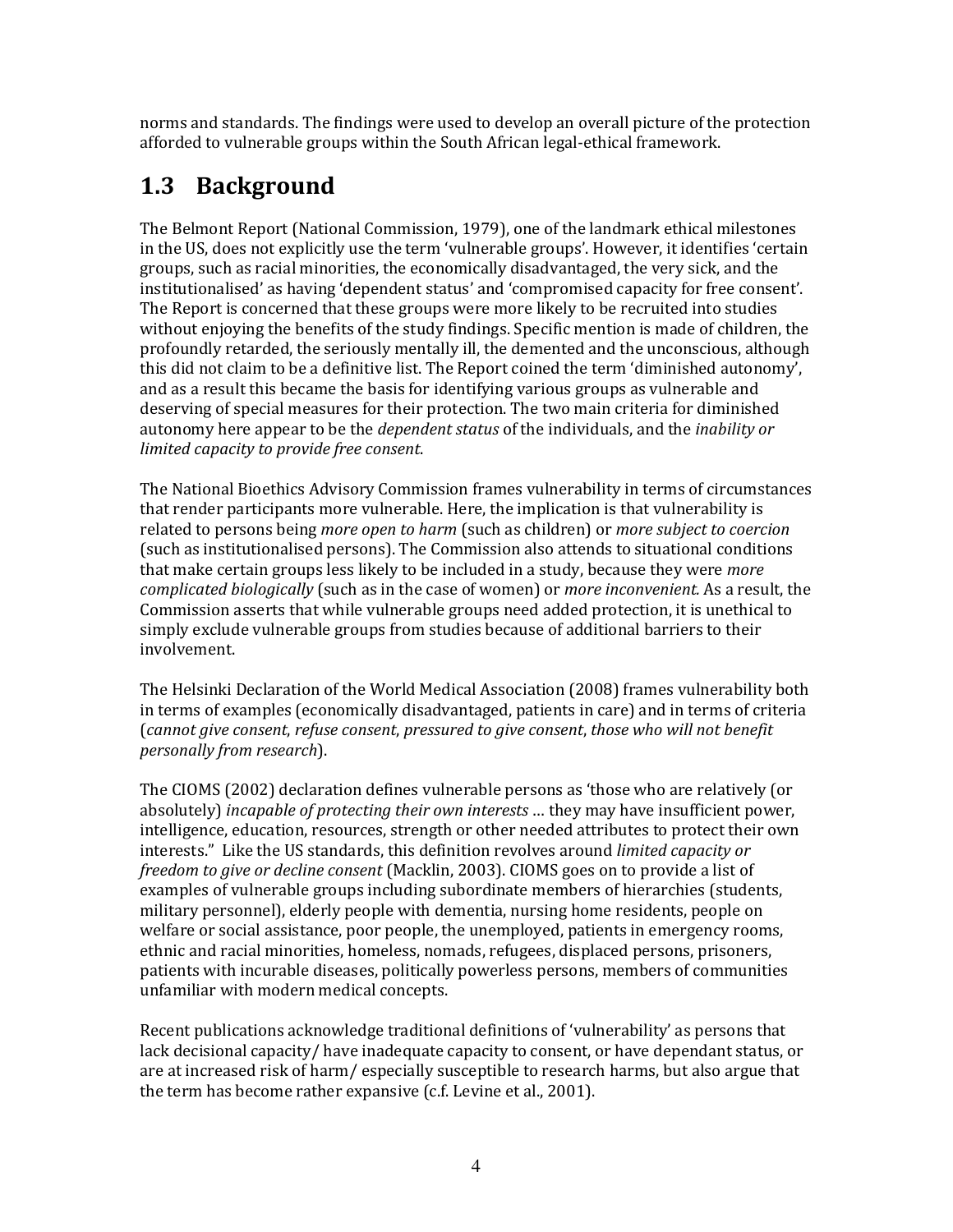norms and standards. The findings were used to develop an overall picture of the protection afforded to vulnerable groups within the South African legal-ethical framework.

## 1.3 Background

The Belmont Report (National Commission, 1979), one of the landmark ethical milestones in the US, does not explicitly use the term 'vulnerable groups'. However, it identifies 'certain groups, such as racial minorities, the economically disadvantaged, the very sick, and the institutionalised' as having 'dependent status' and 'compromised capacity for free consent'. The Report is concerned that these groups were more likely to be recruited into studies without enjoying the benefits of the study findings. Specific mention is made of children, the profoundly retarded, the seriously mentally ill, the demented and the unconscious, although this did not claim to be a definitive list. The Report coined the term 'diminished autonomy', and as a result this became the basis for identifying various groups as vulnerable and deserving of special measures for their protection. The two main criteria for diminished autonomy here appear to be the dependent status of the individuals, and the inability or limited capacity to provide free consent.

The National Bioethics Advisory Commission frames vulnerability in terms of circumstances that render participants more vulnerable. Here, the implication is that vulnerability is related to persons being more open to harm (such as children) or more subject to coercion (such as institutionalised persons). The Commission also attends to situational conditions that make certain groups less likely to be included in a study, because they were *more* complicated biologically (such as in the case of women) or more inconvenient. As a result, the Commission asserts that while vulnerable groups need added protection, it is unethical to simply exclude vulnerable groups from studies because of additional barriers to their involvement.

The Helsinki Declaration of the World Medical Association (2008) frames vulnerability both in terms of examples (economically disadvantaged, patients in care) and in terms of criteria (cannot give consent, refuse consent, pressured to give consent, those who will not benefit personally from research).

The CIOMS (2002) declaration defines vulnerable persons as 'those who are relatively (or absolutely) *incapable of protecting their own interests* ... they may have insufficient power, intelligence, education, resources, strength or other needed attributes to protect their own interests." Like the US standards, this definition revolves around limited capacity or freedom to give or decline consent (Macklin, 2003). CIOMS goes on to provide a list of examples of vulnerable groups including subordinate members of hierarchies (students, military personnel), elderly people with dementia, nursing home residents, people on welfare or social assistance, poor people, the unemployed, patients in emergency rooms, ethnic and racial minorities, homeless, nomads, refugees, displaced persons, prisoners, patients with incurable diseases, politically powerless persons, members of communities unfamiliar with modern medical concepts.

Recent publications acknowledge traditional definitions of 'vulnerability' as persons that lack decisional capacity/ have inadequate capacity to consent, or have dependant status, or are at increased risk of harm/ especially susceptible to research harms, but also argue that the term has become rather expansive (c.f. Levine et al., 2001).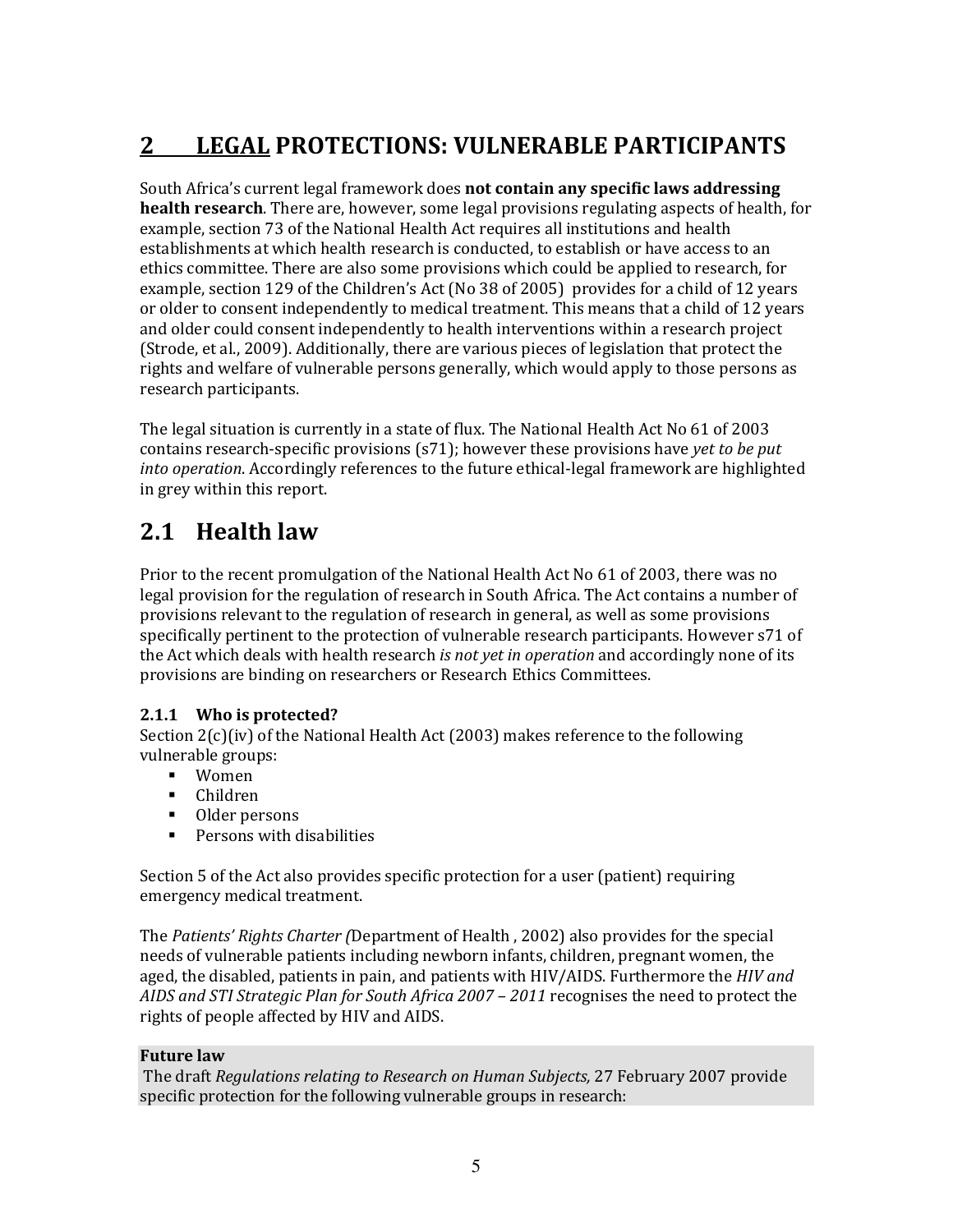## 2 LEGAL PROTECTIONS: VULNERABLE PARTICIPANTS

South Africa's current legal framework does not contain any specific laws addressing health research. There are, however, some legal provisions regulating aspects of health, for example, section 73 of the National Health Act requires all institutions and health establishments at which health research is conducted, to establish or have access to an ethics committee. There are also some provisions which could be applied to research, for example, section 129 of the Children's Act (No 38 of 2005) provides for a child of 12 years or older to consent independently to medical treatment. This means that a child of 12 years and older could consent independently to health interventions within a research project (Strode, et al., 2009). Additionally, there are various pieces of legislation that protect the rights and welfare of vulnerable persons generally, which would apply to those persons as research participants.

The legal situation is currently in a state of flux. The National Health Act No 61 of 2003 contains research-specific provisions  $(s71)$ ; however these provisions have yet to be put into operation. Accordingly references to the future ethical-legal framework are highlighted in grey within this report.

## 2.1 Health law

Prior to the recent promulgation of the National Health Act No 61 of 2003, there was no legal provision for the regulation of research in South Africa. The Act contains a number of provisions relevant to the regulation of research in general, as well as some provisions specifically pertinent to the protection of vulnerable research participants. However s71 of the Act which deals with health research is not yet in operation and accordingly none of its provisions are binding on researchers or Research Ethics Committees.

#### 2.1.1 Who is protected?

Section 2(c)(iv) of the National Health Act (2003) makes reference to the following vulnerable groups:

- Women
- Children
- Older persons
- **Persons with disabilities**

Section 5 of the Act also provides specific protection for a user (patient) requiring emergency medical treatment.

The Patients' Rights Charter (Department of Health , 2002) also provides for the special needs of vulnerable patients including newborn infants, children, pregnant women, the aged, the disabled, patients in pain, and patients with HIV/AIDS. Furthermore the HIV and AIDS and STI Strategic Plan for South Africa 2007 – 2011 recognises the need to protect the rights of people affected by HIV and AIDS.

#### Future law

 The draft Regulations relating to Research on Human Subjects, 27 February 2007 provide specific protection for the following vulnerable groups in research: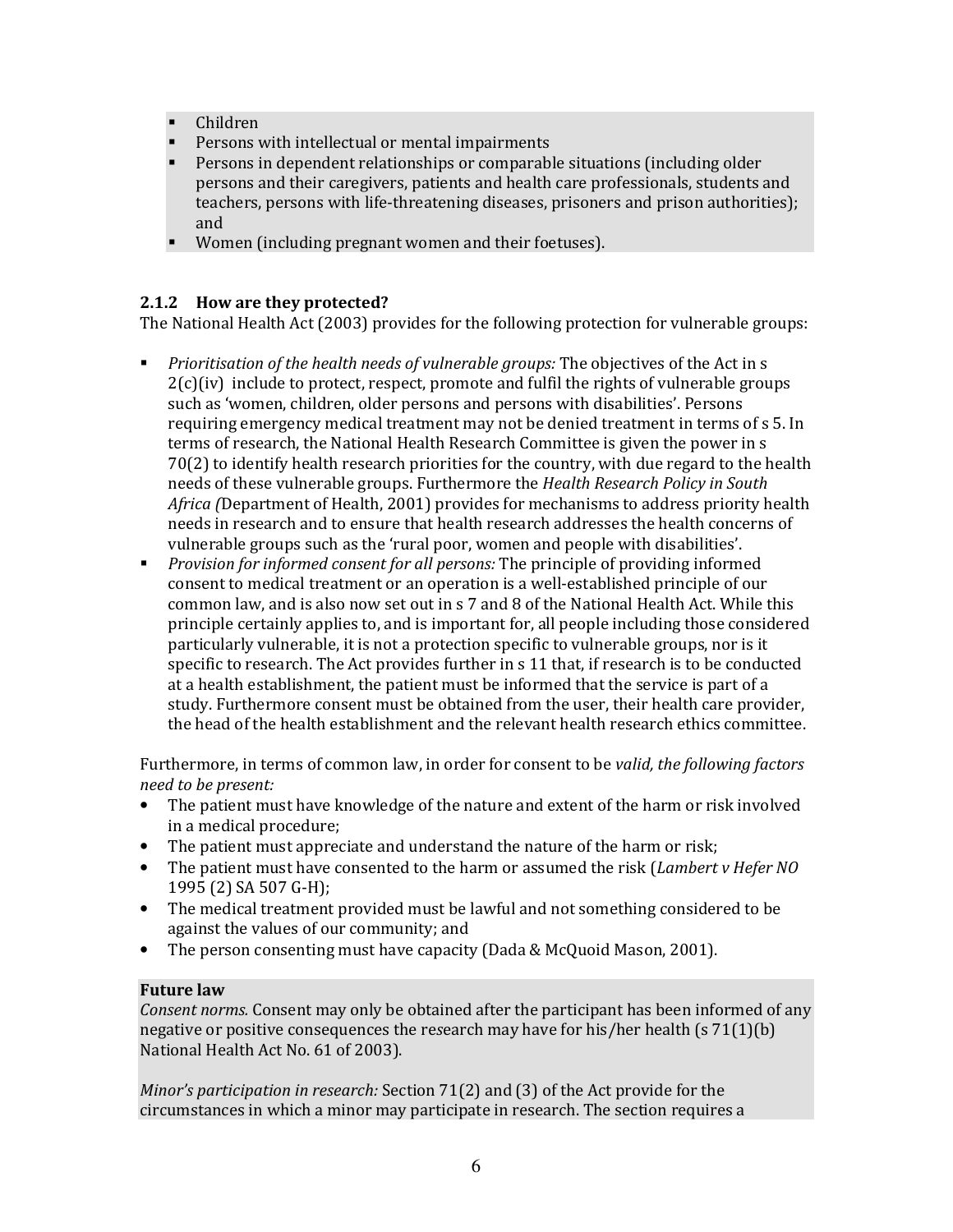- Children
- **Persons with intellectual or mental impairments**
- Persons in dependent relationships or comparable situations (including older persons and their caregivers, patients and health care professionals, students and teachers, persons with life-threatening diseases, prisoners and prison authorities); and
- Women (including pregnant women and their foetuses).

#### 2.1.2 How are they protected?

The National Health Act (2003) provides for the following protection for vulnerable groups:

- **Prioritisation of the health needs of vulnerable groups: The objectives of the Act in s**  $2(c)(iv)$  include to protect, respect, promote and fulfil the rights of vulnerable groups such as 'women, children, older persons and persons with disabilities'. Persons requiring emergency medical treatment may not be denied treatment in terms of s 5. In terms of research, the National Health Research Committee is given the power in s 70(2) to identify health research priorities for the country, with due regard to the health needs of these vulnerable groups. Furthermore the Health Research Policy in South Africa (Department of Health, 2001) provides for mechanisms to address priority health needs in research and to ensure that health research addresses the health concerns of vulnerable groups such as the 'rural poor, women and people with disabilities'.
- **•** Provision for informed consent for all persons: The principle of providing informed consent to medical treatment or an operation is a well-established principle of our common law, and is also now set out in s 7 and 8 of the National Health Act. While this principle certainly applies to, and is important for, all people including those considered particularly vulnerable, it is not a protection specific to vulnerable groups, nor is it specific to research. The Act provides further in s 11 that, if research is to be conducted at a health establishment, the patient must be informed that the service is part of a study. Furthermore consent must be obtained from the user, their health care provider, the head of the health establishment and the relevant health research ethics committee.

Furthermore, in terms of common law, in order for consent to be valid, the following factors need to be present:

- The patient must have knowledge of the nature and extent of the harm or risk involved in a medical procedure;
- The patient must appreciate and understand the nature of the harm or risk;
- The patient must have consented to the harm or assumed the risk (Lambert v Hefer NO 1995 (2) SA 507 G-H);
- The medical treatment provided must be lawful and not something considered to be against the values of our community; and
- The person consenting must have capacity (Dada & McQuoid Mason, 2001).

#### Future law

Consent norms. Consent may only be obtained after the participant has been informed of any negative or positive consequences the research may have for his/her health (s  $71(1)(b)$ ) National Health Act No. 61 of 2003).

Minor's participation in research: Section 71(2) and (3) of the Act provide for the circumstances in which a minor may participate in research. The section requires a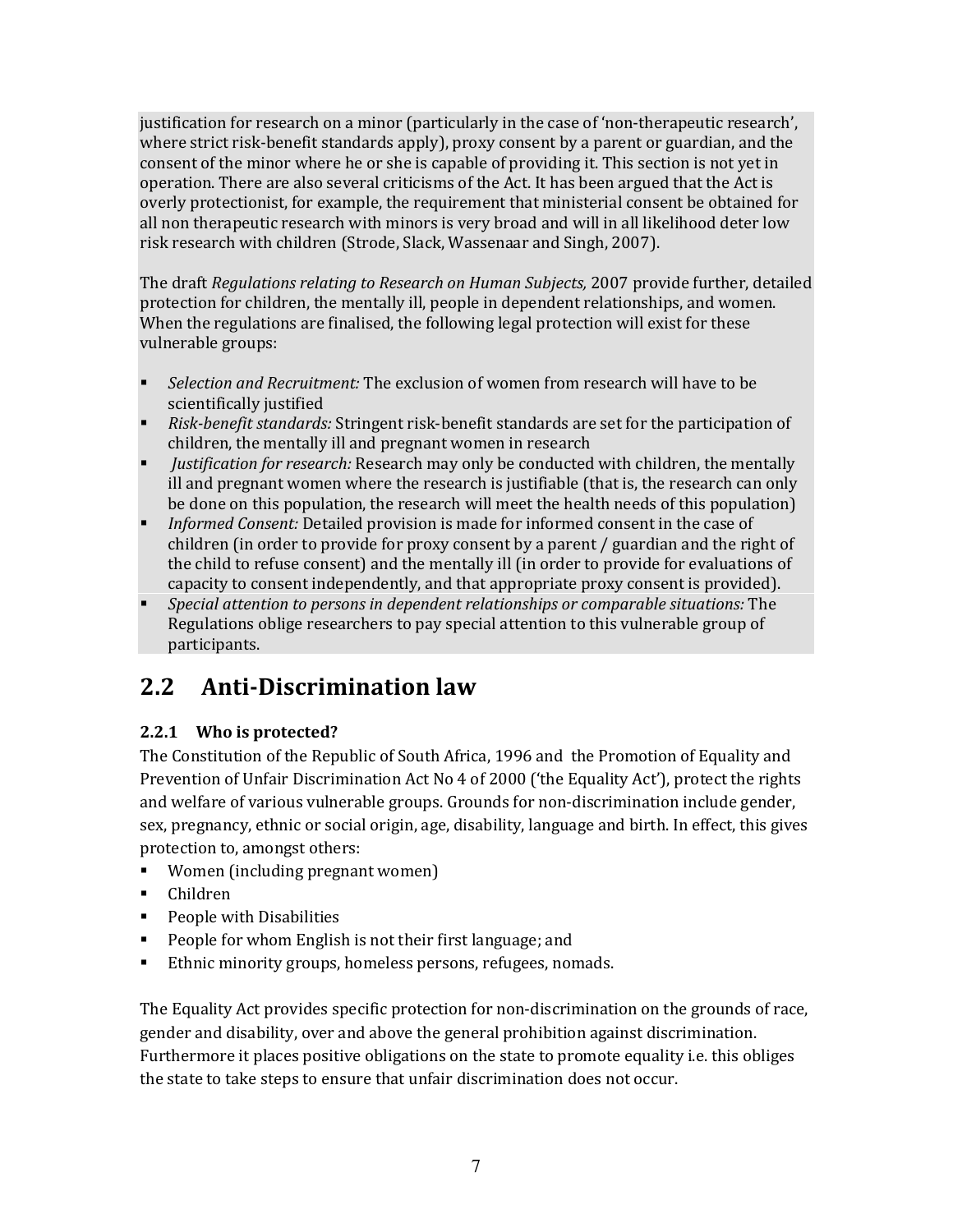justification for research on a minor (particularly in the case of 'non-therapeutic research', where strict risk-benefit standards apply), proxy consent by a parent or guardian, and the consent of the minor where he or she is capable of providing it. This section is not yet in operation. There are also several criticisms of the Act. It has been argued that the Act is overly protectionist, for example, the requirement that ministerial consent be obtained for all non therapeutic research with minors is very broad and will in all likelihood deter low risk research with children (Strode, Slack, Wassenaar and Singh, 2007).

The draft Regulations relating to Research on Human Subjects, 2007 provide further, detailed protection for children, the mentally ill, people in dependent relationships, and women. When the regulations are finalised, the following legal protection will exist for these vulnerable groups:

- Selection and Recruitment: The exclusion of women from research will have to be scientifically justified
- Risk-benefit standards: Stringent risk-benefit standards are set for the participation of children, the mentally ill and pregnant women in research
- Justification for research: Research may only be conducted with children, the mentally ill and pregnant women where the research is justifiable (that is, the research can only be done on this population, the research will meet the health needs of this population)
- Informed Consent: Detailed provision is made for informed consent in the case of children (in order to provide for proxy consent by a parent / guardian and the right of the child to refuse consent) and the mentally ill (in order to provide for evaluations of capacity to consent independently, and that appropriate proxy consent is provided).
- Special attention to persons in dependent relationships or comparable situations: The Regulations oblige researchers to pay special attention to this vulnerable group of participants.

## 2.2 Anti-Discrimination law

### 2.2.1 Who is protected?

The Constitution of the Republic of South Africa, 1996 and the Promotion of Equality and Prevention of Unfair Discrimination Act No 4 of 2000 ('the Equality Act'), protect the rights and welfare of various vulnerable groups. Grounds for non-discrimination include gender, sex, pregnancy, ethnic or social origin, age, disability, language and birth. In effect, this gives protection to, amongst others:

- Women (including pregnant women)
- Children
- **People with Disabilities**
- **People for whom English is not their first language; and**
- Ethnic minority groups, homeless persons, refugees, nomads.

The Equality Act provides specific protection for non-discrimination on the grounds of race, gender and disability, over and above the general prohibition against discrimination. Furthermore it places positive obligations on the state to promote equality i.e. this obliges the state to take steps to ensure that unfair discrimination does not occur.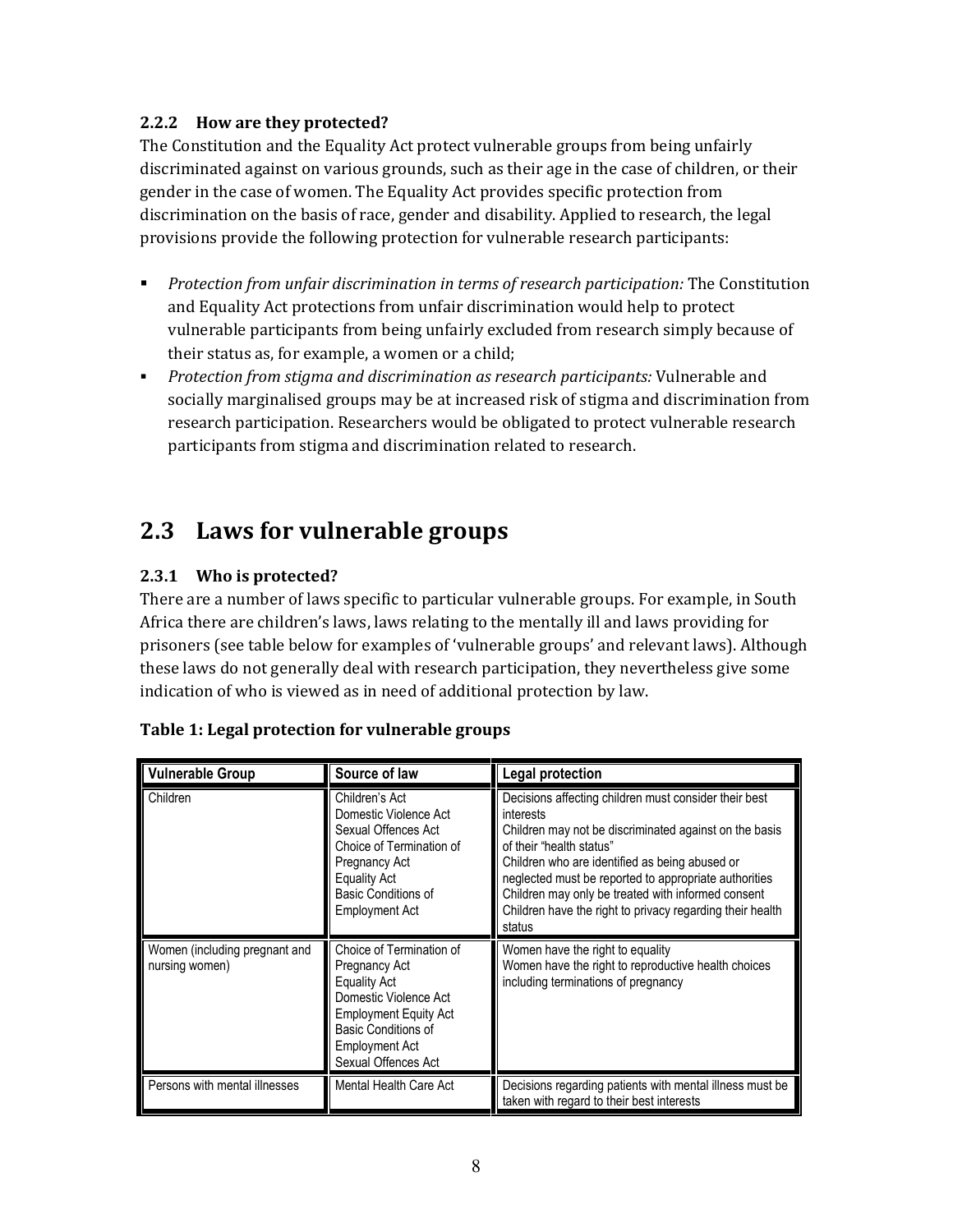#### 2.2.2 How are they protected?

The Constitution and the Equality Act protect vulnerable groups from being unfairly discriminated against on various grounds, such as their age in the case of children, or their gender in the case of women. The Equality Act provides specific protection from discrimination on the basis of race, gender and disability. Applied to research, the legal provisions provide the following protection for vulnerable research participants:

- **Protection from unfair discrimination in terms of research participation: The Constitution** and Equality Act protections from unfair discrimination would help to protect vulnerable participants from being unfairly excluded from research simply because of their status as, for example, a women or a child;
- **Protection from stigma and discrimination as research participants: Vulnerable and** socially marginalised groups may be at increased risk of stigma and discrimination from research participation. Researchers would be obligated to protect vulnerable research participants from stigma and discrimination related to research.

## 2.3 Laws for vulnerable groups

#### 2.3.1 Who is protected?

There are a number of laws specific to particular vulnerable groups. For example, in South Africa there are children's laws, laws relating to the mentally ill and laws providing for prisoners (see table below for examples of 'vulnerable groups' and relevant laws). Although these laws do not generally deal with research participation, they nevertheless give some indication of who is viewed as in need of additional protection by law.

| <b>Vulnerable Group</b>                         | Source of law                                                                                                                                                                             | Legal protection                                                                                                                                                                                                                                                                                                                                                                                 |
|-------------------------------------------------|-------------------------------------------------------------------------------------------------------------------------------------------------------------------------------------------|--------------------------------------------------------------------------------------------------------------------------------------------------------------------------------------------------------------------------------------------------------------------------------------------------------------------------------------------------------------------------------------------------|
| Children                                        | Children's Act<br>Domestic Violence Act<br>Sexual Offences Act<br>Choice of Termination of<br>Pregnancy Act<br><b>Equality Act</b><br><b>Basic Conditions of</b><br>Employment Act        | Decisions affecting children must consider their best<br>interests<br>Children may not be discriminated against on the basis<br>of their "health status"<br>Children who are identified as being abused or<br>neglected must be reported to appropriate authorities<br>Children may only be treated with informed consent<br>Children have the right to privacy regarding their health<br>status |
| Women (including pregnant and<br>nursing women) | Choice of Termination of<br>Pregnancy Act<br><b>Equality Act</b><br>Domestic Violence Act<br><b>Employment Equity Act</b><br>Basic Conditions of<br>Employment Act<br>Sexual Offences Act | Women have the right to equality<br>Women have the right to reproductive health choices<br>including terminations of pregnancy                                                                                                                                                                                                                                                                   |
| Persons with mental illnesses                   | Mental Health Care Act                                                                                                                                                                    | Decisions regarding patients with mental illness must be<br>taken with regard to their best interests                                                                                                                                                                                                                                                                                            |

| Table 1: Legal protection for vulnerable groups |  |
|-------------------------------------------------|--|
|-------------------------------------------------|--|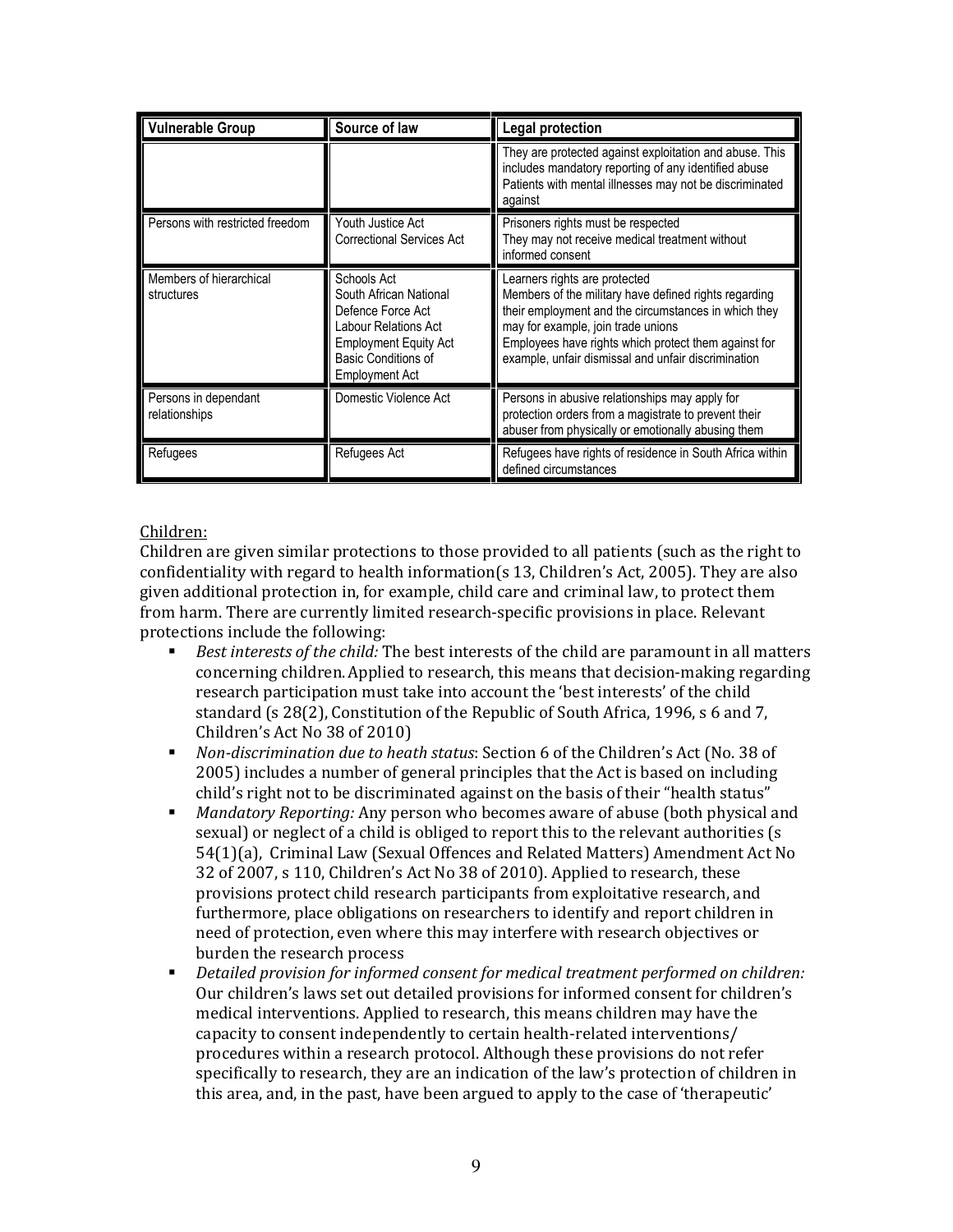| <b>Vulnerable Group</b>               | Source of law                                                                                                                                               | Legal protection                                                                                                                                                                                                                                                                                    |  |  |  |
|---------------------------------------|-------------------------------------------------------------------------------------------------------------------------------------------------------------|-----------------------------------------------------------------------------------------------------------------------------------------------------------------------------------------------------------------------------------------------------------------------------------------------------|--|--|--|
|                                       |                                                                                                                                                             | They are protected against exploitation and abuse. This<br>includes mandatory reporting of any identified abuse<br>Patients with mental illnesses may not be discriminated<br>against                                                                                                               |  |  |  |
| Persons with restricted freedom       | Youth Justice Act<br><b>Correctional Services Act</b>                                                                                                       | Prisoners rights must be respected<br>They may not receive medical treatment without<br>informed consent                                                                                                                                                                                            |  |  |  |
| Members of hierarchical<br>structures | Schools Act<br>South African National<br>Defence Force Act<br>Labour Relations Act<br><b>Employment Equity Act</b><br>Basic Conditions of<br>Employment Act | Learners rights are protected<br>Members of the military have defined rights regarding<br>their employment and the circumstances in which they<br>may for example, join trade unions<br>Employees have rights which protect them against for<br>example, unfair dismissal and unfair discrimination |  |  |  |
| Persons in dependant<br>relationships | Domestic Violence Act                                                                                                                                       | Persons in abusive relationships may apply for<br>protection orders from a magistrate to prevent their<br>abuser from physically or emotionally abusing them                                                                                                                                        |  |  |  |
| Refugees                              | Refugees Act                                                                                                                                                | Refugees have rights of residence in South Africa within<br>defined circumstances                                                                                                                                                                                                                   |  |  |  |

#### Children:

Children are given similar protections to those provided to all patients (such as the right to confidentiality with regard to health information(s 13, Children's Act, 2005). They are also given additional protection in, for example, child care and criminal law, to protect them from harm. There are currently limited research-specific provisions in place. Relevant protections include the following:

- Best interests of the child: The best interests of the child are paramount in all matters concerning children.Applied to research, this means that decision-making regarding research participation must take into account the 'best interests' of the child standard (s 28(2), Constitution of the Republic of South Africa, 1996, s 6 and 7, Children's Act No 38 of 2010)
- Non-discrimination due to heath status: Section 6 of the Children's Act (No. 38 of 2005) includes a number of general principles that the Act is based on including child's right not to be discriminated against on the basis of their "health status"
- Mandatory Reporting: Any person who becomes aware of abuse (both physical and sexual) or neglect of a child is obliged to report this to the relevant authorities (s 54(1)(a), Criminal Law (Sexual Offences and Related Matters) Amendment Act No 32 of 2007, s 110, Children's Act No 38 of 2010). Applied to research, these provisions protect child research participants from exploitative research, and furthermore, place obligations on researchers to identify and report children in need of protection, even where this may interfere with research objectives or burden the research process
- Detailed provision for informed consent for medical treatment performed on children: Our children's laws set out detailed provisions for informed consent for children's medical interventions. Applied to research, this means children may have the capacity to consent independently to certain health-related interventions/ procedures within a research protocol. Although these provisions do not refer specifically to research, they are an indication of the law's protection of children in this area, and, in the past, have been argued to apply to the case of 'therapeutic'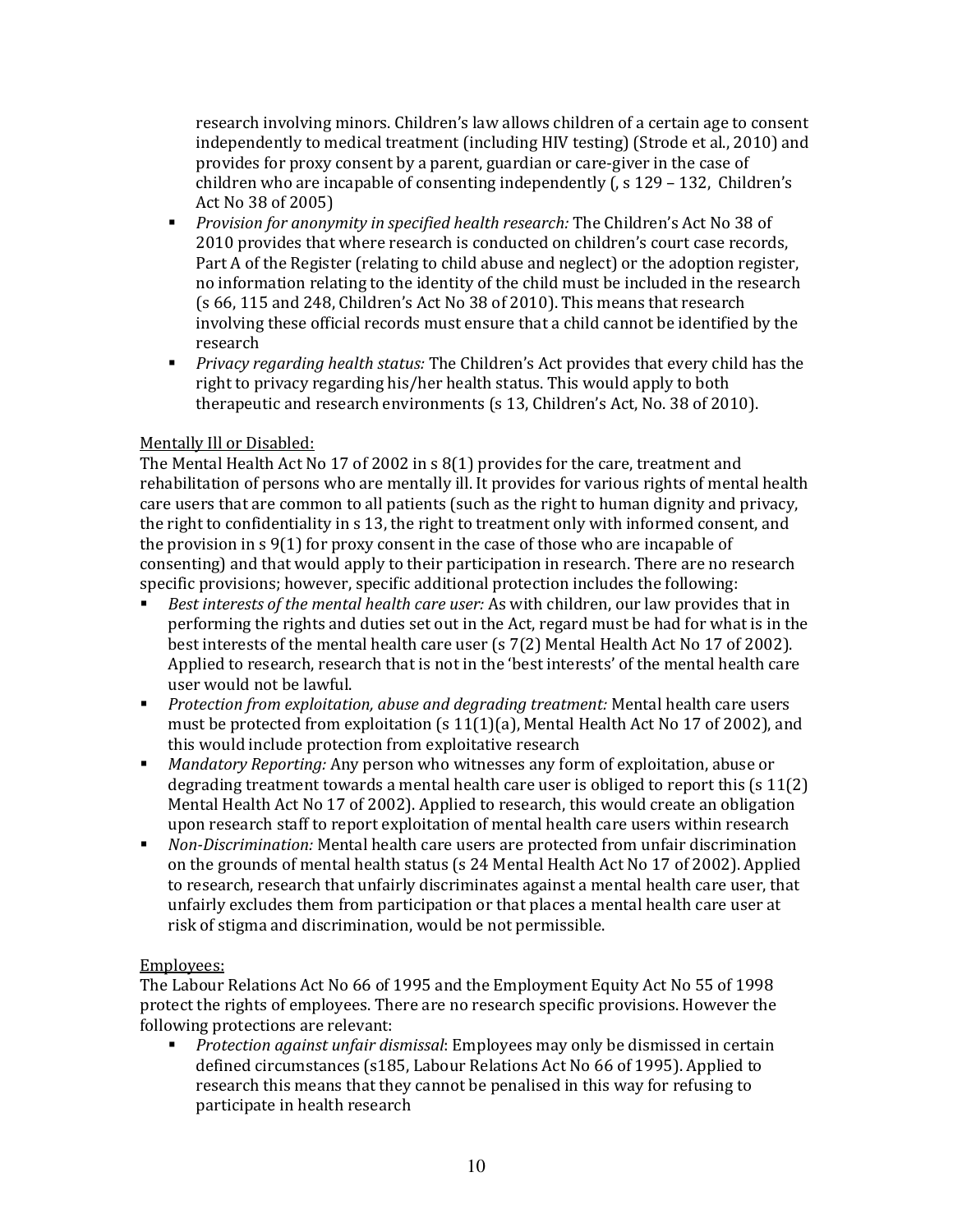research involving minors. Children's law allows children of a certain age to consent independently to medical treatment (including HIV testing) (Strode et al., 2010) and provides for proxy consent by a parent, guardian or care-giver in the case of children who are incapable of consenting independently (, s 129 – 132, Children's Act No 38 of 2005)

- **Provision for anonymity in specified health research: The Children's Act No 38 of** 2010 provides that where research is conducted on children's court case records, Part A of the Register (relating to child abuse and neglect) or the adoption register, no information relating to the identity of the child must be included in the research (s 66, 115 and 248, Children's Act No 38 of 2010). This means that research involving these official records must ensure that a child cannot be identified by the research
- **Privacy regarding health status: The Children's Act provides that every child has the** right to privacy regarding his/her health status. This would apply to both therapeutic and research environments (s 13, Children's Act, No. 38 of 2010).

#### Mentally Ill or Disabled:

The Mental Health Act No 17 of 2002 in s 8(1) provides for the care, treatment and rehabilitation of persons who are mentally ill. It provides for various rights of mental health care users that are common to all patients (such as the right to human dignity and privacy, the right to confidentiality in s 13, the right to treatment only with informed consent, and the provision in s 9(1) for proxy consent in the case of those who are incapable of consenting) and that would apply to their participation in research. There are no research specific provisions; however, specific additional protection includes the following:

- Best interests of the mental health care user: As with children, our law provides that in performing the rights and duties set out in the Act, regard must be had for what is in the best interests of the mental health care user (s 7(2) Mental Health Act No 17 of 2002). Applied to research, research that is not in the 'best interests' of the mental health care user would not be lawful.
- **Protection from exploitation, abuse and degrading treatment: Mental health care users** must be protected from exploitation (s  $11(1)(a)$ , Mental Health Act No 17 of 2002), and this would include protection from exploitative research
- Mandatory Reporting: Any person who witnesses any form of exploitation, abuse or degrading treatment towards a mental health care user is obliged to report this (s 11(2) Mental Health Act No 17 of 2002). Applied to research, this would create an obligation upon research staff to report exploitation of mental health care users within research
- Non-Discrimination: Mental health care users are protected from unfair discrimination on the grounds of mental health status (s 24 Mental Health Act No 17 of 2002). Applied to research, research that unfairly discriminates against a mental health care user, that unfairly excludes them from participation or that places a mental health care user at risk of stigma and discrimination, would be not permissible.

#### Employees:

The Labour Relations Act No 66 of 1995 and the Employment Equity Act No 55 of 1998 protect the rights of employees. There are no research specific provisions. However the following protections are relevant:

 Protection against unfair dismissal: Employees may only be dismissed in certain defined circumstances (s185, Labour Relations Act No 66 of 1995). Applied to research this means that they cannot be penalised in this way for refusing to participate in health research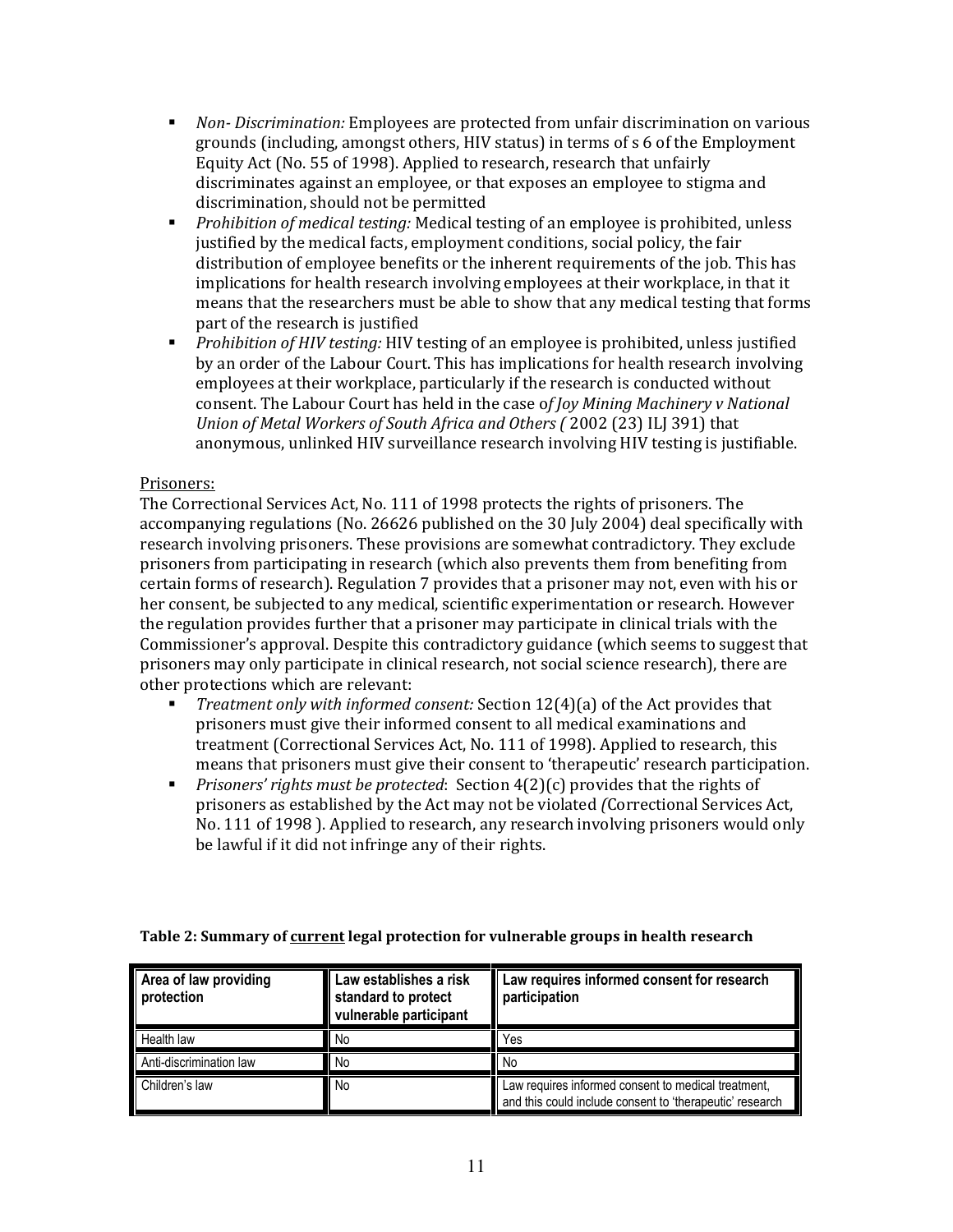- **Non-Discrimination: Employees are protected from unfair discrimination on various** grounds (including, amongst others, HIV status) in terms of s 6 of the Employment Equity Act (No. 55 of 1998). Applied to research, research that unfairly discriminates against an employee, or that exposes an employee to stigma and discrimination, should not be permitted
- **•** Prohibition of medical testing: Medical testing of an employee is prohibited, unless justified by the medical facts, employment conditions, social policy, the fair distribution of employee benefits or the inherent requirements of the job. This has implications for health research involving employees at their workplace, in that it means that the researchers must be able to show that any medical testing that forms part of the research is justified
- Prohibition of HIV testing: HIV testing of an employee is prohibited, unless justified by an order of the Labour Court. This has implications for health research involving employees at their workplace, particularly if the research is conducted without consent. The Labour Court has held in the case of Joy Mining Machinery v National Union of Metal Workers of South Africa and Others ( 2002 (23) ILJ 391) that anonymous, unlinked HIV surveillance research involving HIV testing is justifiable.

#### Prisoners:

The Correctional Services Act, No. 111 of 1998 protects the rights of prisoners. The accompanying regulations (No. 26626 published on the 30 July 2004) deal specifically with research involving prisoners. These provisions are somewhat contradictory. They exclude prisoners from participating in research (which also prevents them from benefiting from certain forms of research). Regulation 7 provides that a prisoner may not, even with his or her consent, be subjected to any medical, scientific experimentation or research. However the regulation provides further that a prisoner may participate in clinical trials with the Commissioner's approval. Despite this contradictory guidance (which seems to suggest that prisoners may only participate in clinical research, not social science research), there are other protections which are relevant:

- Treatment only with informed consent: Section 12(4)(a) of the Act provides that prisoners must give their informed consent to all medical examinations and treatment (Correctional Services Act, No. 111 of 1998). Applied to research, this means that prisoners must give their consent to 'therapeutic' research participation.
- Prisoners' rights must be protected: Section  $4(2)(c)$  provides that the rights of prisoners as established by the Act may not be violated (Correctional Services Act, No. 111 of 1998 ). Applied to research, any research involving prisoners would only be lawful if it did not infringe any of their rights.

| Area of law providing<br><b>protection</b> | Law establishes a risk<br>standard to protect<br>vulnerable participant | Law requires informed consent for research<br>participation                                                     |
|--------------------------------------------|-------------------------------------------------------------------------|-----------------------------------------------------------------------------------------------------------------|
| Health law                                 | No                                                                      | Yes                                                                                                             |
| Anti-discrimination law                    | No                                                                      | No                                                                                                              |
| Children's law                             | No                                                                      | Law requires informed consent to medical treatment,<br>and this could include consent to 'therapeutic' research |

#### Table 2: Summary of current legal protection for vulnerable groups in health research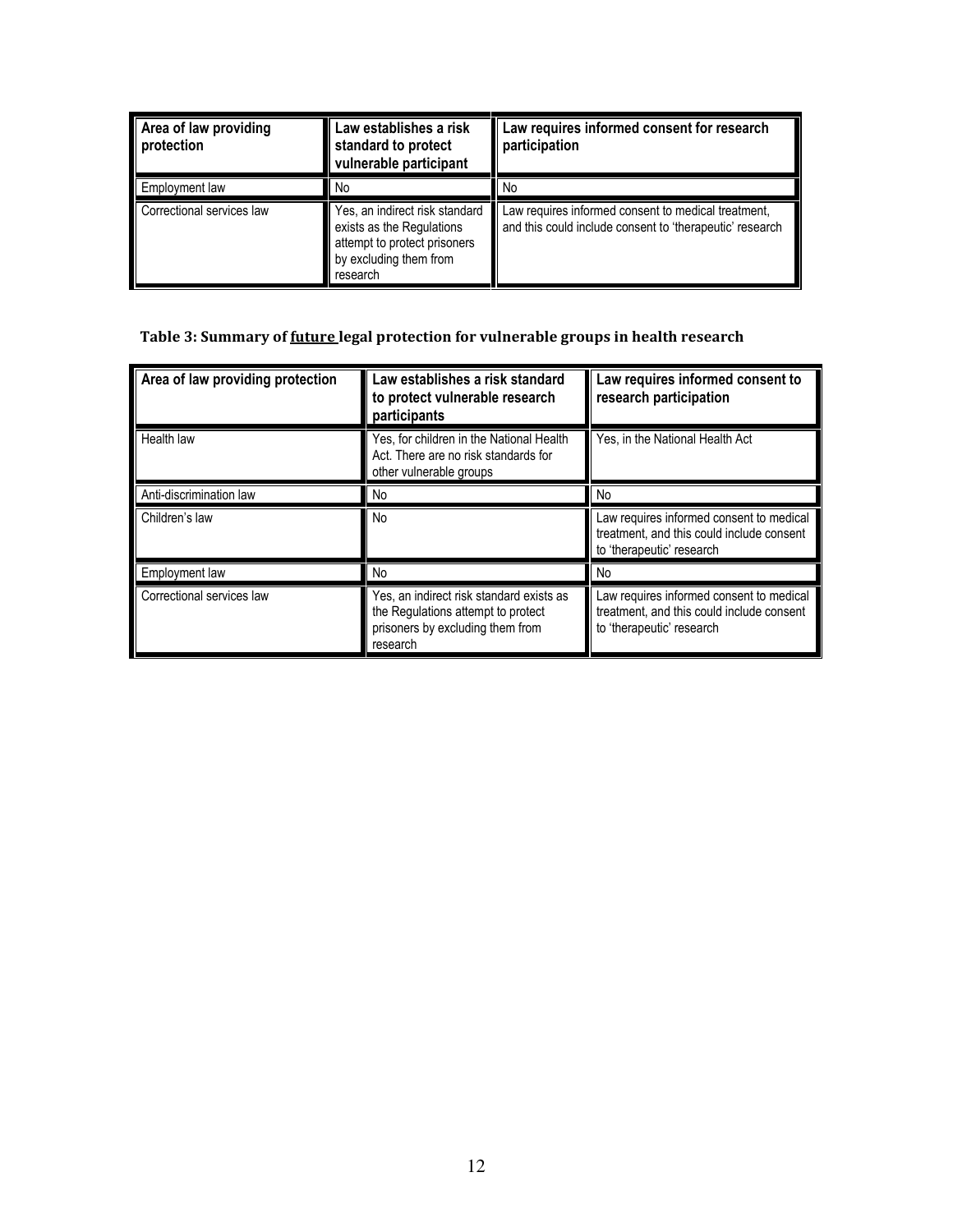| Area of law providing<br>protection | Law establishes a risk<br>standard to protect<br>vulnerable participant                                                           | Law requires informed consent for research<br>participation                                                     |  |
|-------------------------------------|-----------------------------------------------------------------------------------------------------------------------------------|-----------------------------------------------------------------------------------------------------------------|--|
| Employment law                      | No                                                                                                                                | No                                                                                                              |  |
| Correctional services law           | Yes, an indirect risk standard<br>exists as the Regulations<br>attempt to protect prisoners<br>by excluding them from<br>research | Law requires informed consent to medical treatment,<br>and this could include consent to 'therapeutic' research |  |

## Table 3: Summary of future legal protection for vulnerable groups in health research

| Area of law providing protection | Law establishes a risk standard<br>to protect vulnerable research<br>participants                                              | Law requires informed consent to<br>research participation                                                         |  |
|----------------------------------|--------------------------------------------------------------------------------------------------------------------------------|--------------------------------------------------------------------------------------------------------------------|--|
| Health law                       | Yes, for children in the National Health<br>Act. There are no risk standards for<br>other vulnerable groups                    | Yes, in the National Health Act                                                                                    |  |
| Anti-discrimination law          | No                                                                                                                             | No                                                                                                                 |  |
| Children's law                   | No                                                                                                                             | Law requires informed consent to medical<br>treatment, and this could include consent<br>to 'therapeutic' research |  |
| Employment law                   | No                                                                                                                             | No                                                                                                                 |  |
| Correctional services law        | Yes, an indirect risk standard exists as<br>the Regulations attempt to protect<br>prisoners by excluding them from<br>research | Law requires informed consent to medical<br>treatment, and this could include consent<br>to 'therapeutic' research |  |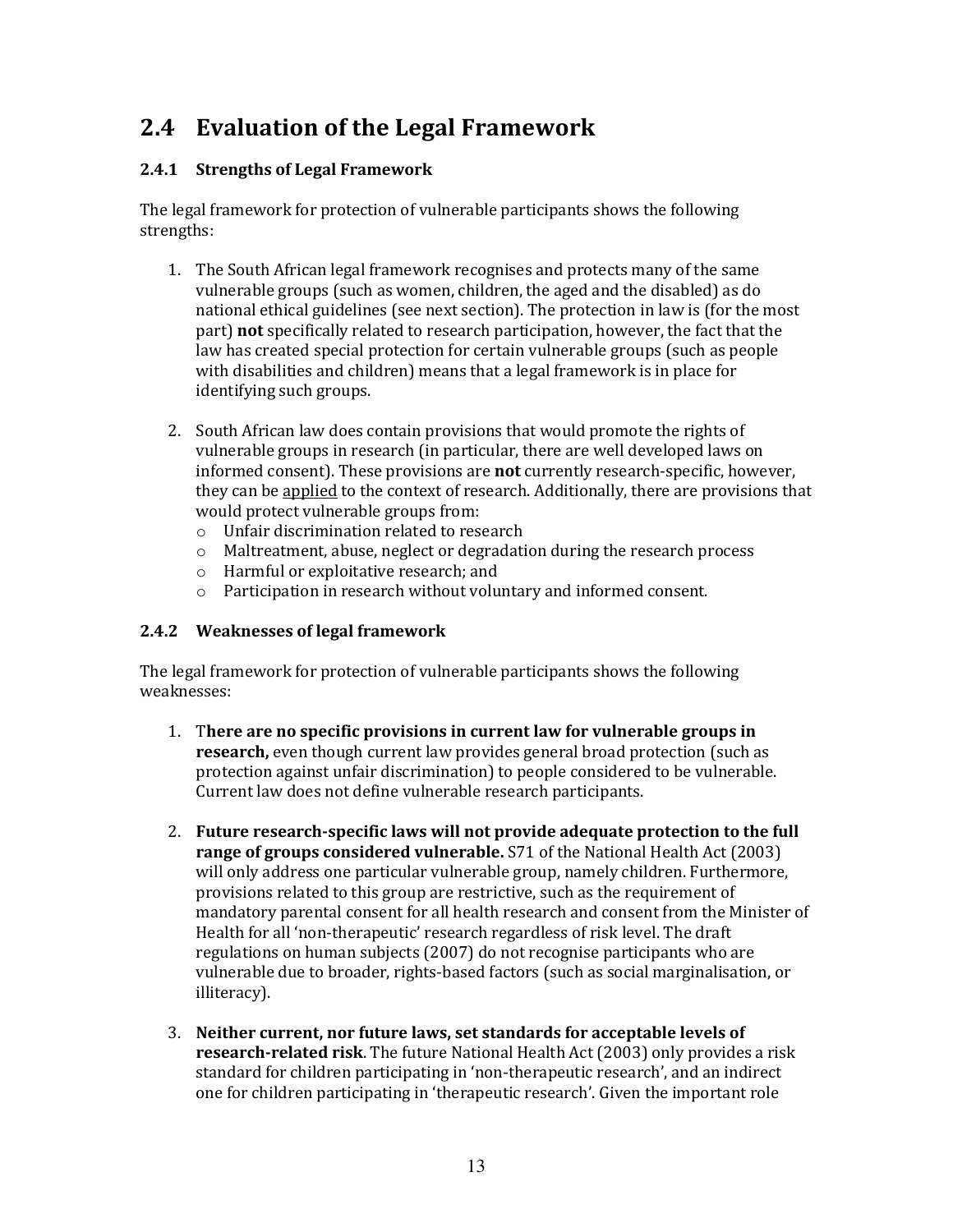## 2.4 Evaluation of the Legal Framework

#### 2.4.1 Strengths of Legal Framework

The legal framework for protection of vulnerable participants shows the following strengths:

- 1. The South African legal framework recognises and protects many of the same vulnerable groups (such as women, children, the aged and the disabled) as do national ethical guidelines (see next section). The protection in law is (for the most part) not specifically related to research participation, however, the fact that the law has created special protection for certain vulnerable groups (such as people with disabilities and children) means that a legal framework is in place for identifying such groups.
- 2. South African law does contain provisions that would promote the rights of vulnerable groups in research (in particular, there are well developed laws on informed consent). These provisions are **not** currently research-specific, however, they can be applied to the context of research. Additionally, there are provisions that would protect vulnerable groups from:
	- o Unfair discrimination related to research
	- o Maltreatment, abuse, neglect or degradation during the research process
	- o Harmful or exploitative research; and
	- o Participation in research without voluntary and informed consent.

#### 2.4.2 Weaknesses of legal framework

The legal framework for protection of vulnerable participants shows the following weaknesses:

- 1. There are no specific provisions in current law for vulnerable groups in research, even though current law provides general broad protection (such as protection against unfair discrimination) to people considered to be vulnerable. Current law does not define vulnerable research participants.
- 2. Future research-specific laws will not provide adequate protection to the full range of groups considered vulnerable. S71 of the National Health Act (2003) will only address one particular vulnerable group, namely children. Furthermore, provisions related to this group are restrictive, such as the requirement of mandatory parental consent for all health research and consent from the Minister of Health for all 'non-therapeutic' research regardless of risk level. The draft regulations on human subjects (2007) do not recognise participants who are vulnerable due to broader, rights-based factors (such as social marginalisation, or illiteracy).
- 3. Neither current, nor future laws, set standards for acceptable levels of research-related risk. The future National Health Act (2003) only provides a risk standard for children participating in 'non-therapeutic research', and an indirect one for children participating in 'therapeutic research'. Given the important role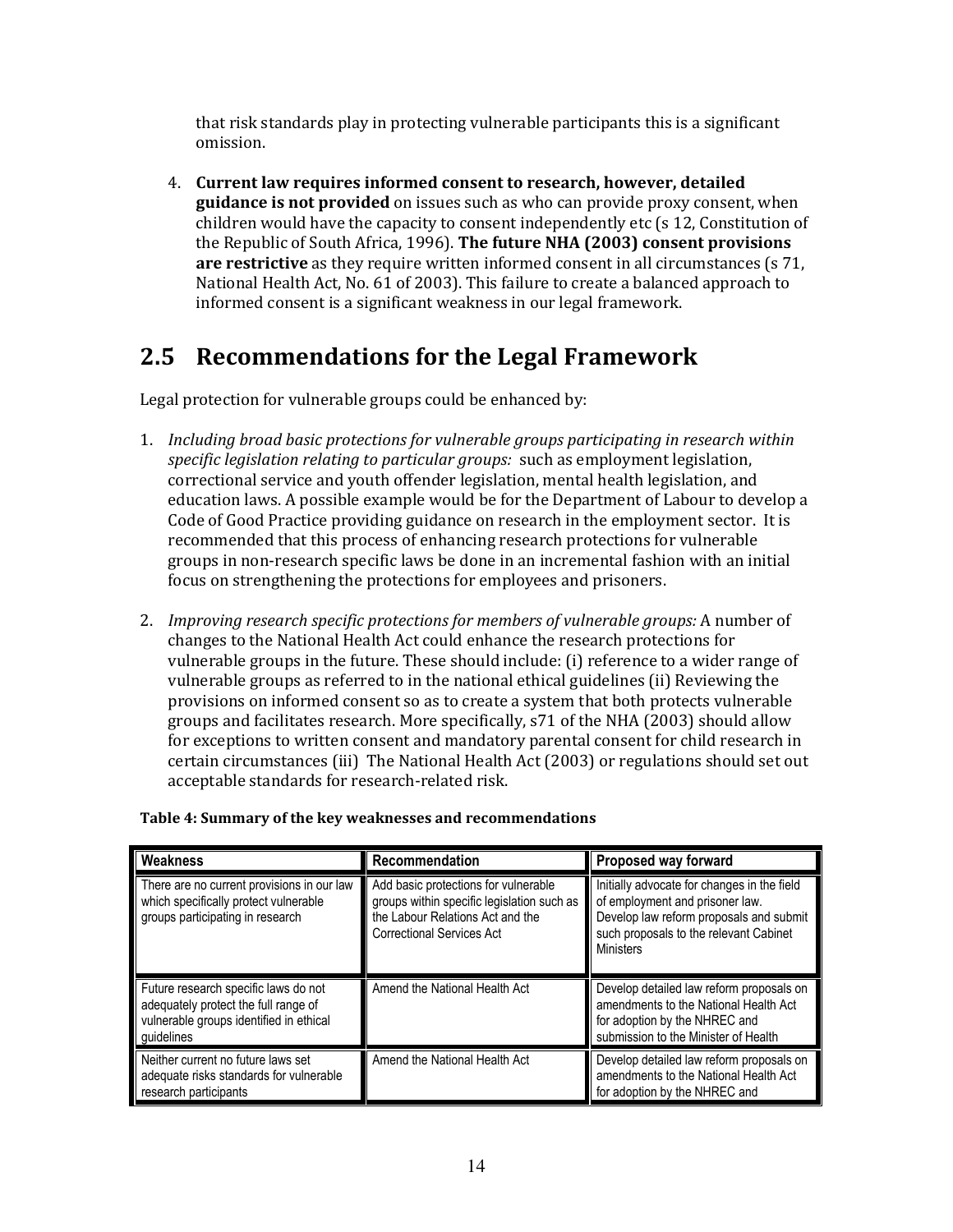that risk standards play in protecting vulnerable participants this is a significant omission.

4. Current law requires informed consent to research, however, detailed guidance is not provided on issues such as who can provide proxy consent, when children would have the capacity to consent independently etc (s 12, Constitution of the Republic of South Africa, 1996). The future NHA (2003) consent provisions are restrictive as they require written informed consent in all circumstances (s 71, National Health Act, No. 61 of 2003). This failure to create a balanced approach to informed consent is a significant weakness in our legal framework.

## 2.5 Recommendations for the Legal Framework

Legal protection for vulnerable groups could be enhanced by:

- 1. Including broad basic protections for vulnerable groups participating in research within specific legislation relating to particular groups: such as employment legislation, correctional service and youth offender legislation, mental health legislation, and education laws. A possible example would be for the Department of Labour to develop a Code of Good Practice providing guidance on research in the employment sector. It is recommended that this process of enhancing research protections for vulnerable groups in non-research specific laws be done in an incremental fashion with an initial focus on strengthening the protections for employees and prisoners.
- 2. Improving research specific protections for members of vulnerable groups: A number of changes to the National Health Act could enhance the research protections for vulnerable groups in the future. These should include: (i) reference to a wider range of vulnerable groups as referred to in the national ethical guidelines (ii) Reviewing the provisions on informed consent so as to create a system that both protects vulnerable groups and facilitates research. More specifically, s71 of the NHA (2003) should allow for exceptions to written consent and mandatory parental consent for child research in certain circumstances (iii) The National Health Act (2003) or regulations should set out acceptable standards for research-related risk.

| Weakness                                                                                                                              | Recommendation                                                                                                                                             | Proposed way forward                                                                                                                                                                    |
|---------------------------------------------------------------------------------------------------------------------------------------|------------------------------------------------------------------------------------------------------------------------------------------------------------|-----------------------------------------------------------------------------------------------------------------------------------------------------------------------------------------|
| There are no current provisions in our law<br>which specifically protect vulnerable<br>groups participating in research               | Add basic protections for vulnerable<br>groups within specific legislation such as<br>the Labour Relations Act and the<br><b>Correctional Services Act</b> | Initially advocate for changes in the field<br>of employment and prisoner law.<br>Develop law reform proposals and submit<br>such proposals to the relevant Cabinet<br><b>Ministers</b> |
| Future research specific laws do not<br>adequately protect the full range of<br>vulnerable groups identified in ethical<br>quidelines | Amend the National Health Act                                                                                                                              | Develop detailed law reform proposals on<br>amendments to the National Health Act<br>for adoption by the NHREC and<br>submission to the Minister of Health                              |
| Neither current no future laws set<br>adequate risks standards for vulnerable<br>research participants                                | Amend the National Health Act                                                                                                                              | Develop detailed law reform proposals on<br>amendments to the National Health Act<br>for adoption by the NHREC and                                                                      |

Table 4: Summary of the key weaknesses and recommendations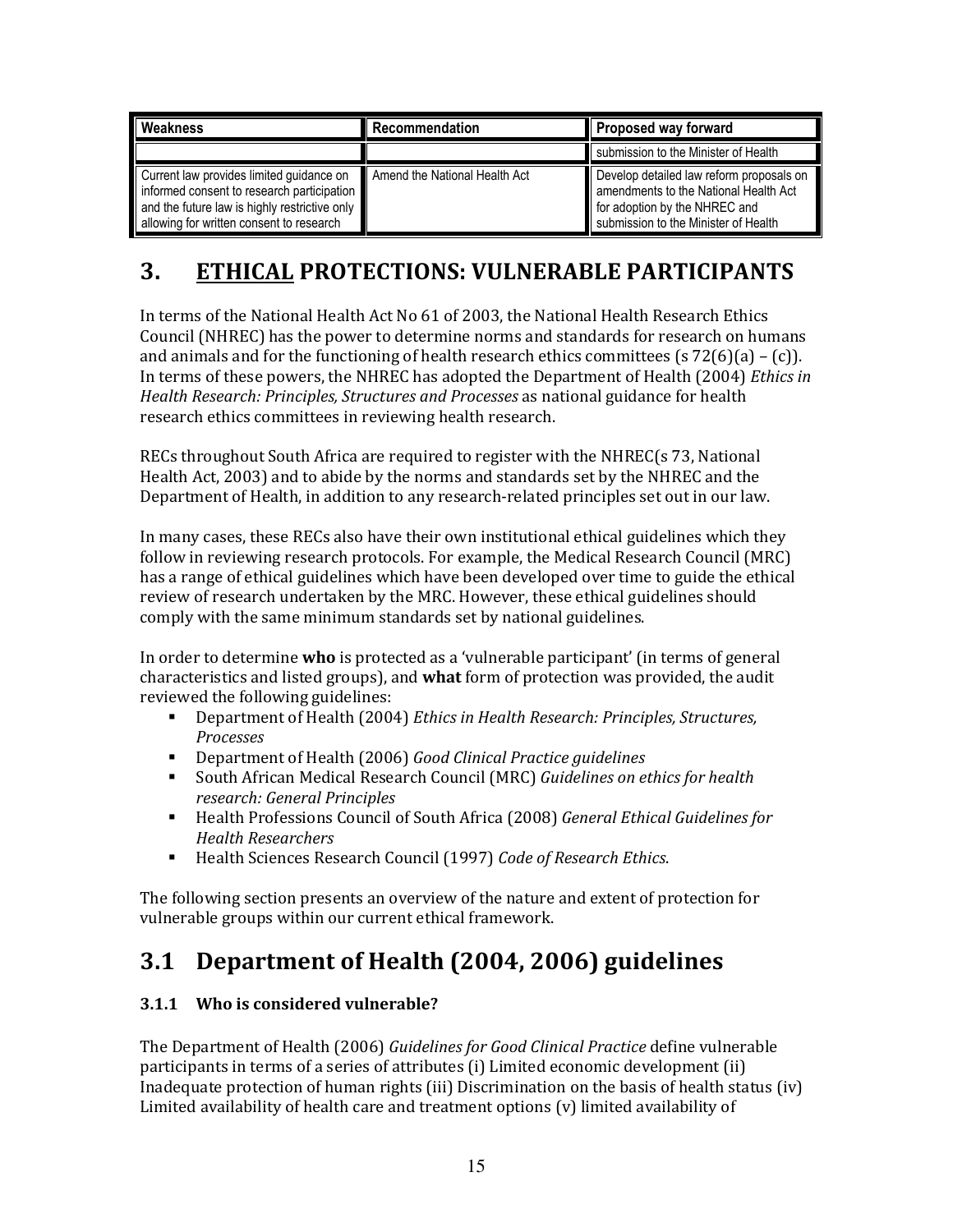| Weakness                                                                                                                                                                            | Recommendation                | Proposed way forward                                                                                                                                       |  |
|-------------------------------------------------------------------------------------------------------------------------------------------------------------------------------------|-------------------------------|------------------------------------------------------------------------------------------------------------------------------------------------------------|--|
|                                                                                                                                                                                     |                               | submission to the Minister of Health                                                                                                                       |  |
| Current law provides limited guidance on<br>informed consent to research participation<br>and the future law is highly restrictive only<br>allowing for written consent to research | Amend the National Health Act | Develop detailed law reform proposals on<br>amendments to the National Health Act<br>for adoption by the NHREC and<br>submission to the Minister of Health |  |

## 3. ETHICAL PROTECTIONS: VULNERABLE PARTICIPANTS

In terms of the National Health Act No 61 of 2003, the National Health Research Ethics Council (NHREC) has the power to determine norms and standards for research on humans and animals and for the functioning of health research ethics committees (s  $72(6)(a) - (c)$ ). In terms of these powers, the NHREC has adopted the Department of Health (2004) Ethics in Health Research: Principles, Structures and Processes as national guidance for health research ethics committees in reviewing health research.

RECs throughout South Africa are required to register with the NHREC(s 73, National Health Act, 2003) and to abide by the norms and standards set by the NHREC and the Department of Health, in addition to any research-related principles set out in our law.

In many cases, these RECs also have their own institutional ethical guidelines which they follow in reviewing research protocols. For example, the Medical Research Council (MRC) has a range of ethical guidelines which have been developed over time to guide the ethical review of research undertaken by the MRC. However, these ethical guidelines should comply with the same minimum standards set by national guidelines.

In order to determine **who** is protected as a 'vulnerable participant' (in terms of general characteristics and listed groups), and what form of protection was provided, the audit reviewed the following guidelines:

- **•** Department of Health (2004) Ethics in Health Research: Principles, Structures, Processes
- Department of Health (2006) Good Clinical Practice guidelines
- **South African Medical Research Council (MRC) Guidelines on ethics for health** research: General Principles
- **Health Professions Council of South Africa (2008) General Ethical Guidelines for** Health Researchers
- Health Sciences Research Council (1997) Code of Research Ethics.

The following section presents an overview of the nature and extent of protection for vulnerable groups within our current ethical framework.

## 3.1 Department of Health (2004, 2006) guidelines

### 3.1.1 Who is considered vulnerable?

The Department of Health (2006) Guidelines for Good Clinical Practice define vulnerable participants in terms of a series of attributes (i) Limited economic development (ii) Inadequate protection of human rights (iii) Discrimination on the basis of health status (iv) Limited availability of health care and treatment options (v) limited availability of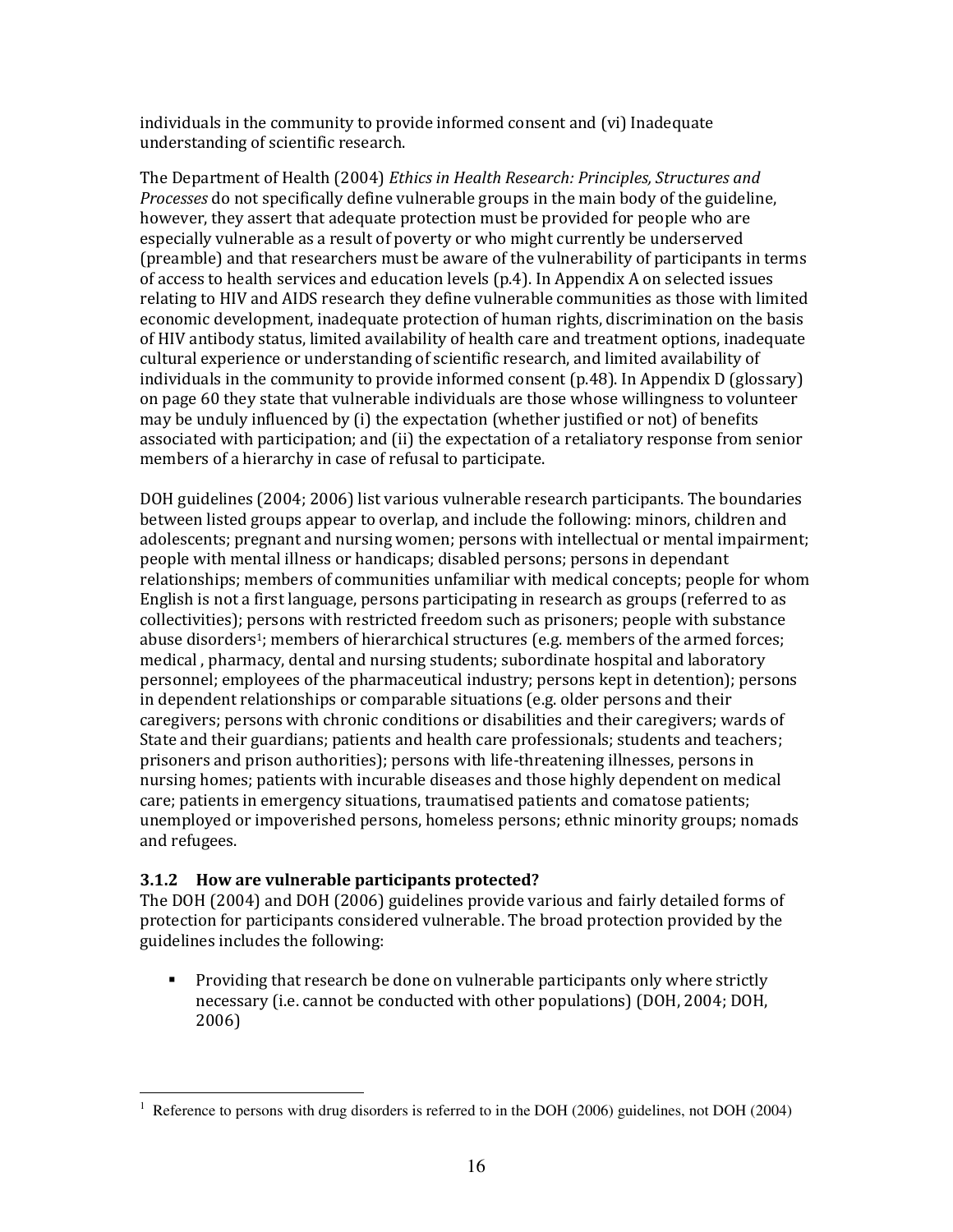individuals in the community to provide informed consent and (vi) Inadequate understanding of scientific research.

The Department of Health (2004) Ethics in Health Research: Principles, Structures and Processes do not specifically define vulnerable groups in the main body of the guideline, however, they assert that adequate protection must be provided for people who are especially vulnerable as a result of poverty or who might currently be underserved (preamble) and that researchers must be aware of the vulnerability of participants in terms of access to health services and education levels (p.4). In Appendix A on selected issues relating to HIV and AIDS research they define vulnerable communities as those with limited economic development, inadequate protection of human rights, discrimination on the basis of HIV antibody status, limited availability of health care and treatment options, inadequate cultural experience or understanding of scientific research, and limited availability of individuals in the community to provide informed consent (p.48). In Appendix D (glossary) on page 60 they state that vulnerable individuals are those whose willingness to volunteer may be unduly influenced by (i) the expectation (whether justified or not) of benefits associated with participation; and (ii) the expectation of a retaliatory response from senior members of a hierarchy in case of refusal to participate.

DOH guidelines (2004; 2006) list various vulnerable research participants. The boundaries between listed groups appear to overlap, and include the following: minors, children and adolescents; pregnant and nursing women; persons with intellectual or mental impairment; people with mental illness or handicaps; disabled persons; persons in dependant relationships; members of communities unfamiliar with medical concepts; people for whom English is not a first language, persons participating in research as groups (referred to as collectivities); persons with restricted freedom such as prisoners; people with substance abuse disorders<sup>1</sup>; members of hierarchical structures (e.g. members of the armed forces; medical , pharmacy, dental and nursing students; subordinate hospital and laboratory personnel; employees of the pharmaceutical industry; persons kept in detention); persons in dependent relationships or comparable situations (e.g. older persons and their caregivers; persons with chronic conditions or disabilities and their caregivers; wards of State and their guardians; patients and health care professionals; students and teachers; prisoners and prison authorities); persons with life-threatening illnesses, persons in nursing homes; patients with incurable diseases and those highly dependent on medical care; patients in emergency situations, traumatised patients and comatose patients; unemployed or impoverished persons, homeless persons; ethnic minority groups; nomads and refugees.

#### 3.1.2 How are vulnerable participants protected?

The DOH (2004) and DOH (2006) guidelines provide various and fairly detailed forms of protection for participants considered vulnerable. The broad protection provided by the guidelines includes the following:

 Providing that research be done on vulnerable participants only where strictly necessary (i.e. cannot be conducted with other populations) (DOH, 2004; DOH, 2006)

l 1 Reference to persons with drug disorders is referred to in the DOH (2006) guidelines, not DOH (2004)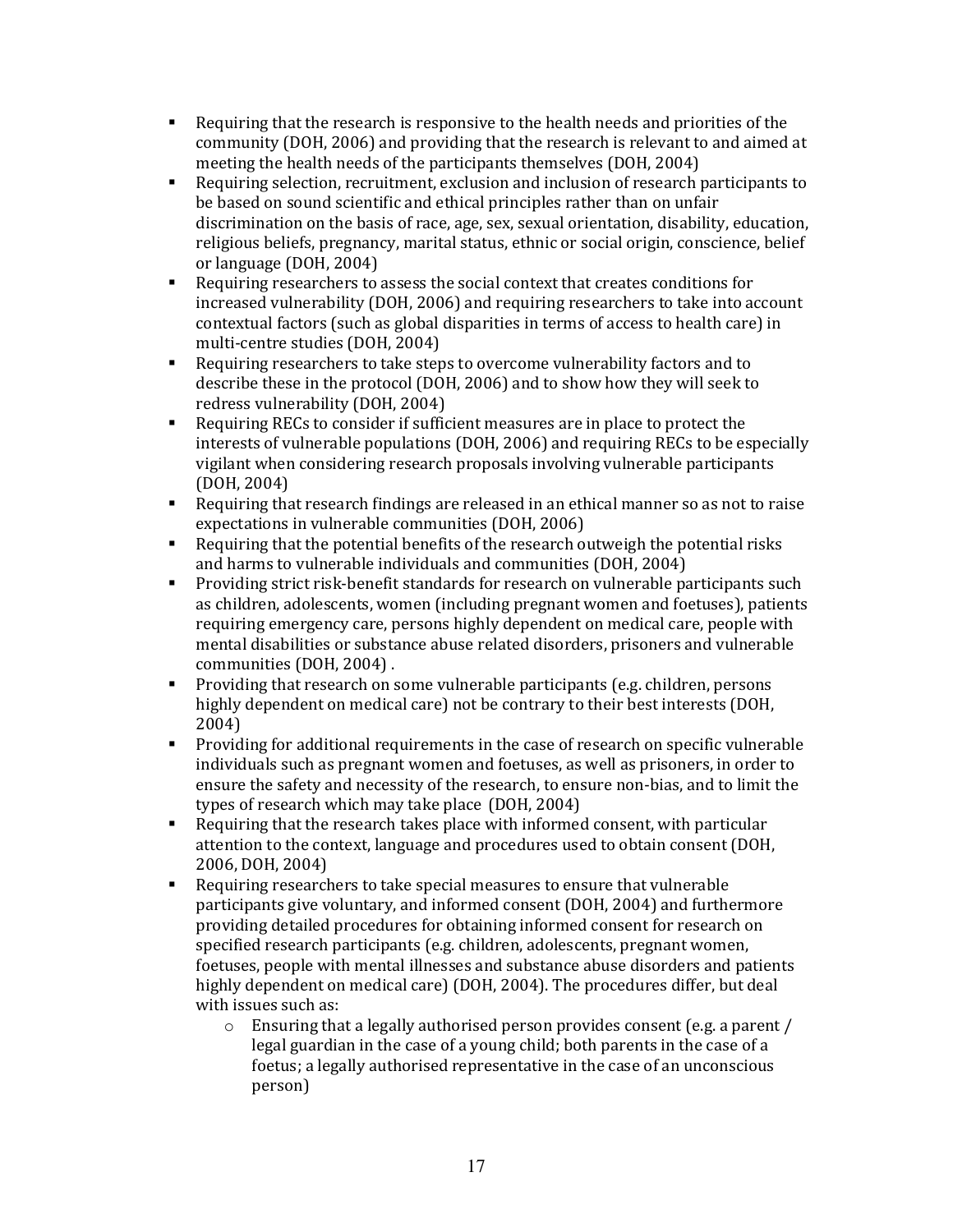- Requiring that the research is responsive to the health needs and priorities of the community (DOH, 2006) and providing that the research is relevant to and aimed at meeting the health needs of the participants themselves (DOH, 2004)
- Requiring selection, recruitment, exclusion and inclusion of research participants to be based on sound scientific and ethical principles rather than on unfair discrimination on the basis of race, age, sex, sexual orientation, disability, education, religious beliefs, pregnancy, marital status, ethnic or social origin, conscience, belief or language (DOH, 2004)
- Requiring researchers to assess the social context that creates conditions for increased vulnerability (DOH, 2006) and requiring researchers to take into account contextual factors (such as global disparities in terms of access to health care) in multi-centre studies (DOH, 2004)
- Requiring researchers to take steps to overcome vulnerability factors and to describe these in the protocol (DOH, 2006) and to show how they will seek to redress vulnerability (DOH, 2004)
- Requiring RECs to consider if sufficient measures are in place to protect the interests of vulnerable populations (DOH, 2006) and requiring RECs to be especially vigilant when considering research proposals involving vulnerable participants (DOH, 2004)
- Requiring that research findings are released in an ethical manner so as not to raise expectations in vulnerable communities (DOH, 2006)
- Requiring that the potential benefits of the research outweigh the potential risks and harms to vulnerable individuals and communities (DOH, 2004)
- Providing strict risk-benefit standards for research on vulnerable participants such as children, adolescents, women (including pregnant women and foetuses), patients requiring emergency care, persons highly dependent on medical care, people with mental disabilities or substance abuse related disorders, prisoners and vulnerable communities (DOH, 2004) .
- **Providing that research on some vulnerable participants (e.g. children, persons** highly dependent on medical care) not be contrary to their best interests (DOH, 2004)
- **Providing for additional requirements in the case of research on specific vulnerable** individuals such as pregnant women and foetuses, as well as prisoners, in order to ensure the safety and necessity of the research, to ensure non-bias, and to limit the types of research which may take place (DOH, 2004)
- Requiring that the research takes place with informed consent, with particular attention to the context, language and procedures used to obtain consent (DOH, 2006, DOH, 2004)
- Requiring researchers to take special measures to ensure that vulnerable participants give voluntary, and informed consent (DOH, 2004) and furthermore providing detailed procedures for obtaining informed consent for research on specified research participants (e.g. children, adolescents, pregnant women, foetuses, people with mental illnesses and substance abuse disorders and patients highly dependent on medical care) (DOH, 2004). The procedures differ, but deal with issues such as:
	- o Ensuring that a legally authorised person provides consent (e.g. a parent / legal guardian in the case of a young child; both parents in the case of a foetus; a legally authorised representative in the case of an unconscious person)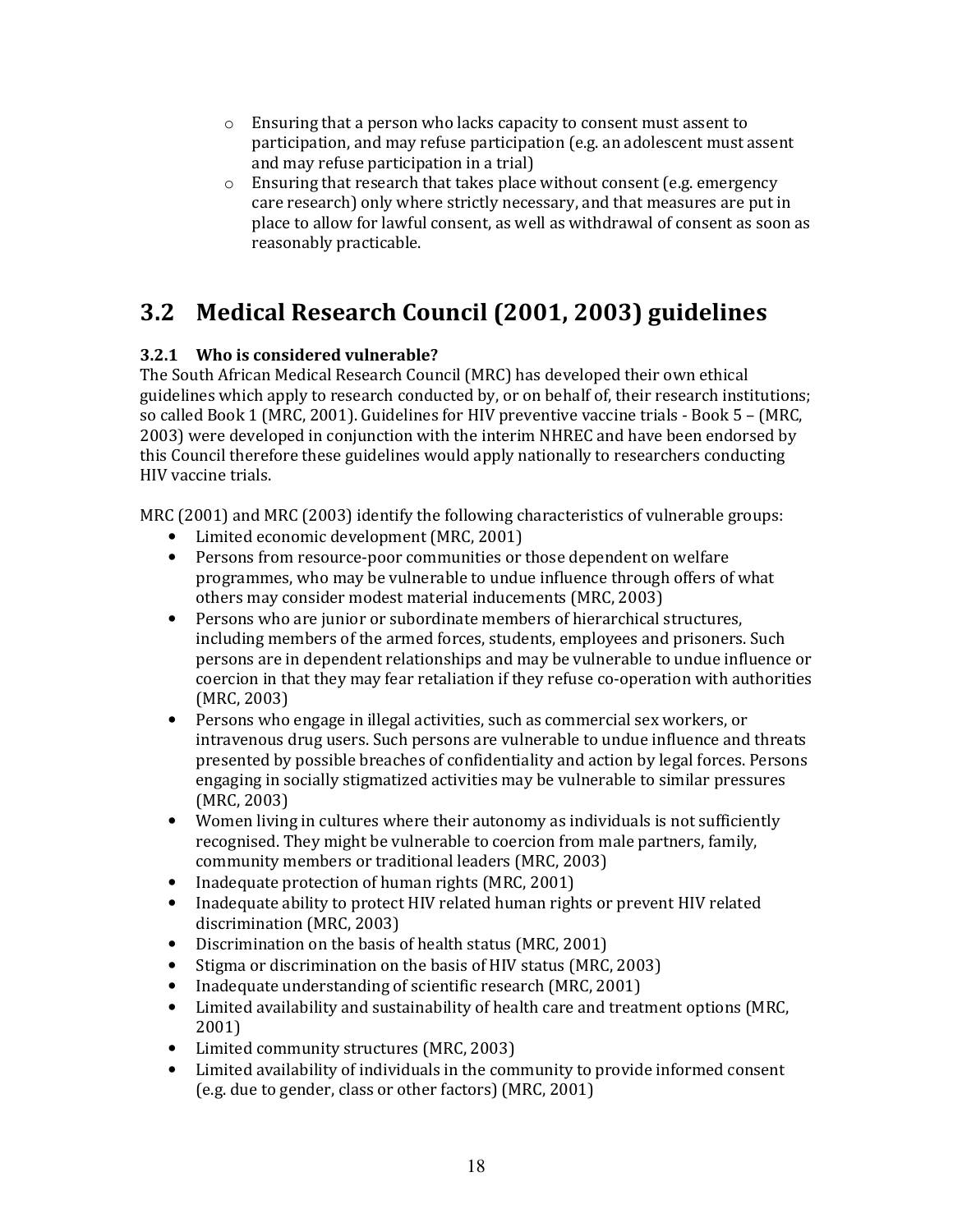- $\circ$  Ensuring that a person who lacks capacity to consent must assent to participation, and may refuse participation (e.g. an adolescent must assent and may refuse participation in a trial)
- o Ensuring that research that takes place without consent (e.g. emergency care research) only where strictly necessary, and that measures are put in place to allow for lawful consent, as well as withdrawal of consent as soon as reasonably practicable.

## 3.2 Medical Research Council (2001, 2003) guidelines

#### 3.2.1 Who is considered vulnerable?

The South African Medical Research Council (MRC) has developed their own ethical guidelines which apply to research conducted by, or on behalf of, their research institutions; so called Book 1 (MRC, 2001). Guidelines for HIV preventive vaccine trials - Book 5 – (MRC, 2003) were developed in conjunction with the interim NHREC and have been endorsed by this Council therefore these guidelines would apply nationally to researchers conducting HIV vaccine trials.

MRC (2001) and MRC (2003) identify the following characteristics of vulnerable groups:

- Limited economic development (MRC, 2001)
- Persons from resource-poor communities or those dependent on welfare programmes, who may be vulnerable to undue influence through offers of what others may consider modest material inducements (MRC, 2003)
- Persons who are junior or subordinate members of hierarchical structures, including members of the armed forces, students, employees and prisoners. Such persons are in dependent relationships and may be vulnerable to undue influence or coercion in that they may fear retaliation if they refuse co-operation with authorities (MRC, 2003)
- Persons who engage in illegal activities, such as commercial sex workers, or intravenous drug users. Such persons are vulnerable to undue influence and threats presented by possible breaches of confidentiality and action by legal forces. Persons engaging in socially stigmatized activities may be vulnerable to similar pressures (MRC, 2003)
- Women living in cultures where their autonomy as individuals is not sufficiently recognised. They might be vulnerable to coercion from male partners, family, community members or traditional leaders (MRC, 2003)
- Inadequate protection of human rights (MRC, 2001)
- Inadequate ability to protect HIV related human rights or prevent HIV related discrimination (MRC, 2003)
- Discrimination on the basis of health status (MRC, 2001)
- Stigma or discrimination on the basis of HIV status (MRC, 2003)
- Inadequate understanding of scientific research (MRC, 2001)
- Limited availability and sustainability of health care and treatment options (MRC, 2001)
- Limited community structures (MRC, 2003)
- Limited availability of individuals in the community to provide informed consent (e.g. due to gender, class or other factors) (MRC, 2001)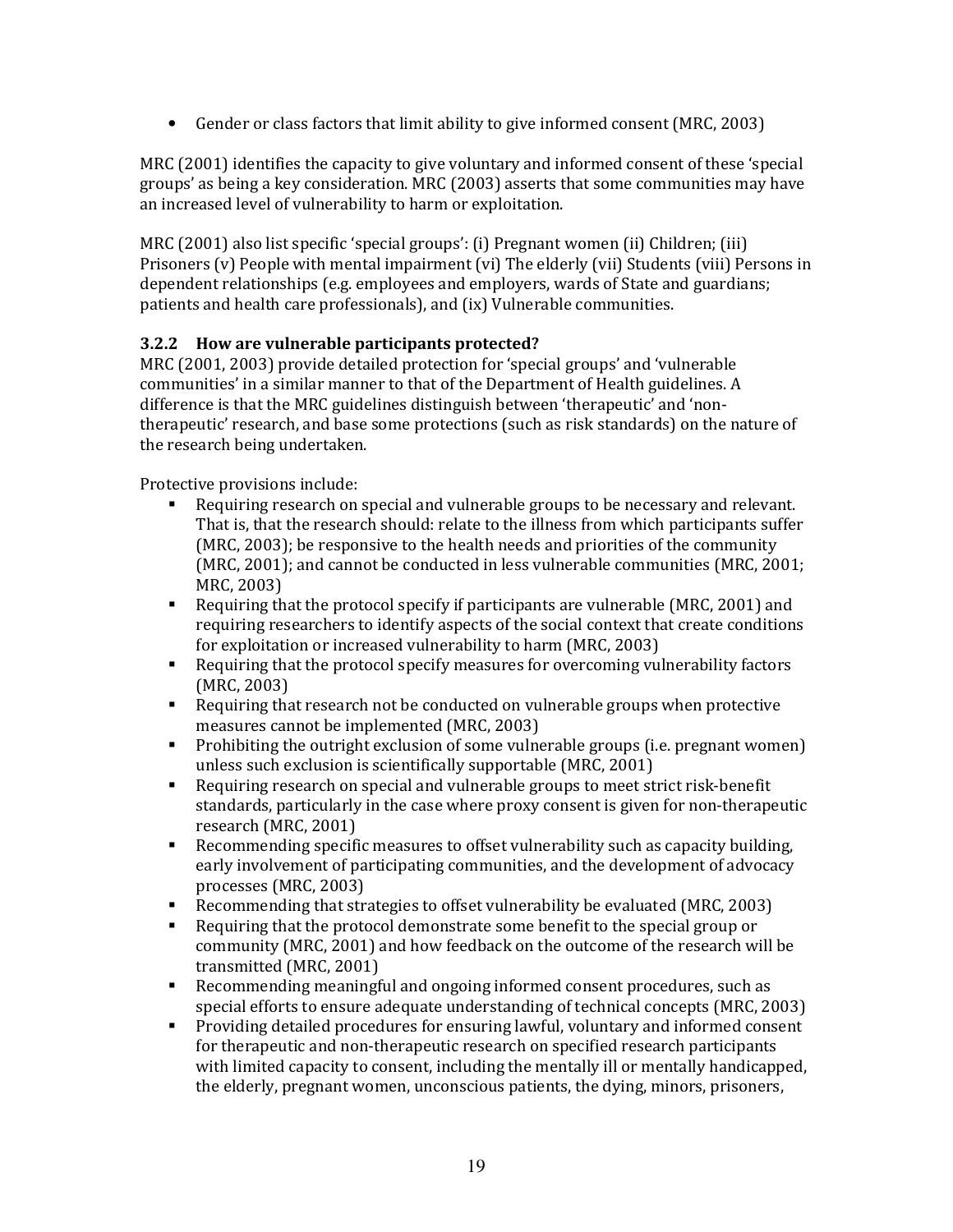• Gender or class factors that limit ability to give informed consent (MRC, 2003)

MRC (2001) identifies the capacity to give voluntary and informed consent of these 'special groups' as being a key consideration. MRC (2003) asserts that some communities may have an increased level of vulnerability to harm or exploitation.

MRC (2001) also list specific 'special groups': (i) Pregnant women (ii) Children; (iii) Prisoners (v) People with mental impairment (vi) The elderly (vii) Students (viii) Persons in dependent relationships (e.g. employees and employers, wards of State and guardians; patients and health care professionals), and (ix) Vulnerable communities.

#### 3.2.2 How are vulnerable participants protected?

MRC (2001, 2003) provide detailed protection for 'special groups' and 'vulnerable communities' in a similar manner to that of the Department of Health guidelines. A difference is that the MRC guidelines distinguish between 'therapeutic' and 'nontherapeutic' research, and base some protections (such as risk standards) on the nature of the research being undertaken.

Protective provisions include:

- Requiring research on special and vulnerable groups to be necessary and relevant. That is, that the research should: relate to the illness from which participants suffer (MRC, 2003); be responsive to the health needs and priorities of the community (MRC, 2001); and cannot be conducted in less vulnerable communities (MRC, 2001; MRC, 2003)
- Requiring that the protocol specify if participants are vulnerable (MRC, 2001) and requiring researchers to identify aspects of the social context that create conditions for exploitation or increased vulnerability to harm (MRC, 2003)
- Requiring that the protocol specify measures for overcoming vulnerability factors (MRC, 2003)
- Requiring that research not be conducted on vulnerable groups when protective measures cannot be implemented (MRC, 2003)
- **Prohibiting the outright exclusion of some vulnerable groups (i.e. pregnant women)** unless such exclusion is scientifically supportable (MRC, 2001)
- Requiring research on special and vulnerable groups to meet strict risk-benefit standards, particularly in the case where proxy consent is given for non-therapeutic research (MRC, 2001)
- Recommending specific measures to offset vulnerability such as capacity building, early involvement of participating communities, and the development of advocacy processes (MRC, 2003)
- Recommending that strategies to offset vulnerability be evaluated (MRC, 2003)
- Requiring that the protocol demonstrate some benefit to the special group or community (MRC, 2001) and how feedback on the outcome of the research will be transmitted (MRC, 2001)
- Recommending meaningful and ongoing informed consent procedures, such as special efforts to ensure adequate understanding of technical concepts (MRC, 2003)
- Providing detailed procedures for ensuring lawful, voluntary and informed consent for therapeutic and non-therapeutic research on specified research participants with limited capacity to consent, including the mentally ill or mentally handicapped, the elderly, pregnant women, unconscious patients, the dying, minors, prisoners,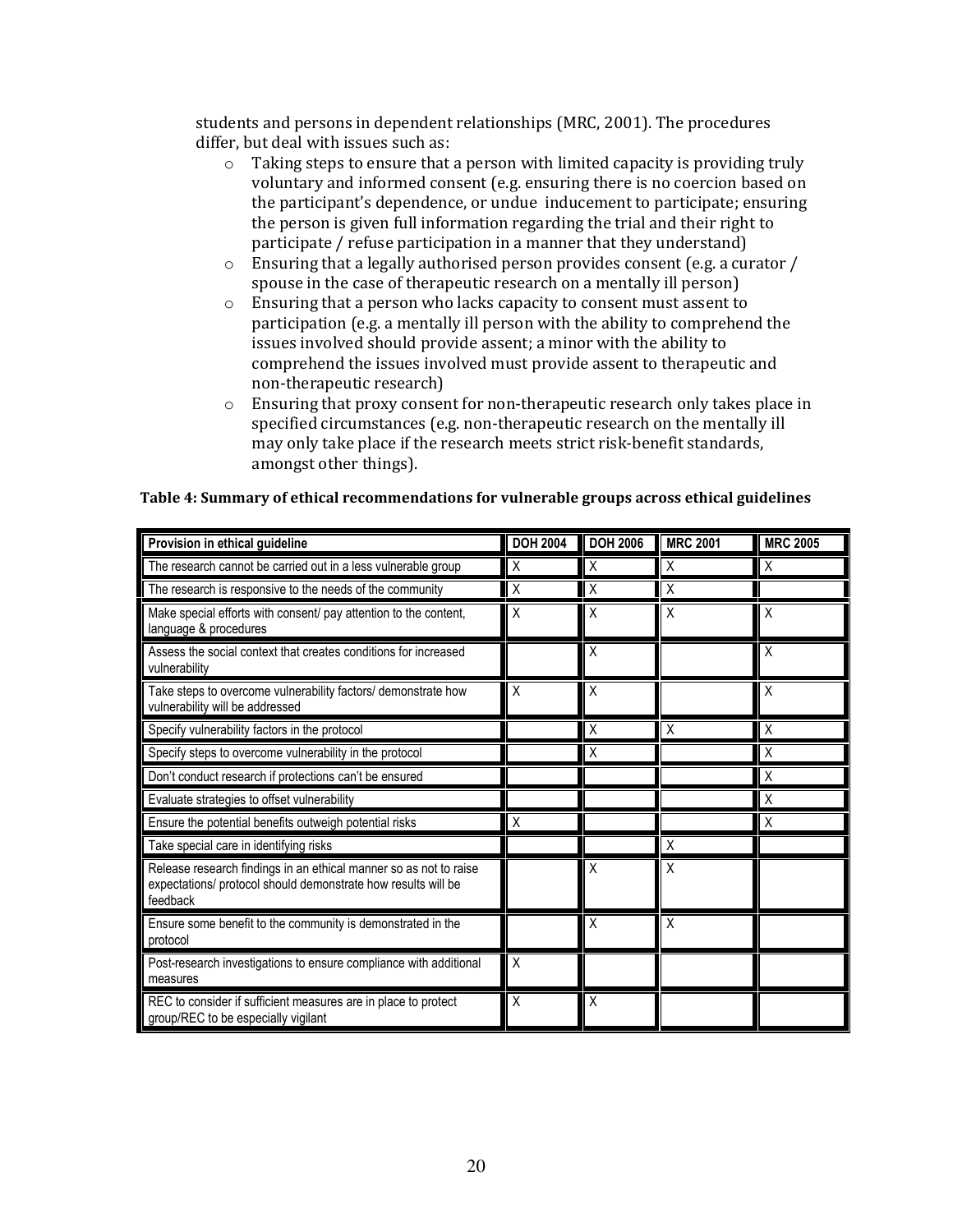students and persons in dependent relationships (MRC, 2001). The procedures differ, but deal with issues such as:

- o Taking steps to ensure that a person with limited capacity is providing truly voluntary and informed consent (e.g. ensuring there is no coercion based on the participant's dependence, or undue inducement to participate; ensuring the person is given full information regarding the trial and their right to participate / refuse participation in a manner that they understand)
- o Ensuring that a legally authorised person provides consent (e.g. a curator / spouse in the case of therapeutic research on a mentally ill person)
- o Ensuring that a person who lacks capacity to consent must assent to participation (e.g. a mentally ill person with the ability to comprehend the issues involved should provide assent; a minor with the ability to comprehend the issues involved must provide assent to therapeutic and non-therapeutic research)
- o Ensuring that proxy consent for non-therapeutic research only takes place in specified circumstances (e.g. non-therapeutic research on the mentally ill may only take place if the research meets strict risk-benefit standards, amongst other things).

| Provision in ethical guideline                                                                                                                 | <b>DOH 2004</b> | <b>DOH 2006</b> | <b>MRC 2001</b>  | <b>MRC 2005</b> |
|------------------------------------------------------------------------------------------------------------------------------------------------|-----------------|-----------------|------------------|-----------------|
| The research cannot be carried out in a less vulnerable group                                                                                  | Χ               | Χ               | Χ                | Χ               |
| The research is responsive to the needs of the community                                                                                       | Χ               | Χ               | $\boldsymbol{X}$ |                 |
| Make special efforts with consent/ pay attention to the content,<br>language & procedures                                                      | Χ               | Χ               | Χ                | X               |
| Assess the social context that creates conditions for increased<br>vulnerability                                                               |                 | Χ               |                  | Χ               |
| Take steps to overcome vulnerability factors/ demonstrate how<br>vulnerability will be addressed                                               | X               | X               |                  | Χ               |
| Specify vulnerability factors in the protocol                                                                                                  |                 | Χ               | $\mathsf{X}$     | X               |
| Specify steps to overcome vulnerability in the protocol                                                                                        |                 | Χ               |                  | Χ               |
| Don't conduct research if protections can't be ensured                                                                                         |                 |                 |                  | Χ               |
| Evaluate strategies to offset vulnerability                                                                                                    |                 |                 |                  | X               |
| Ensure the potential benefits outweigh potential risks                                                                                         | Χ               |                 |                  | Χ               |
| Take special care in identifying risks                                                                                                         |                 |                 | $\times$         |                 |
| Release research findings in an ethical manner so as not to raise<br>expectations/ protocol should demonstrate how results will be<br>feedback |                 | Χ               | X                |                 |
| Ensure some benefit to the community is demonstrated in the<br>protocol                                                                        |                 | Χ               | X                |                 |
| Post-research investigations to ensure compliance with additional<br>measures                                                                  | X               |                 |                  |                 |
| REC to consider if sufficient measures are in place to protect<br>group/REC to be especially vigilant                                          | Χ               | Χ               |                  |                 |

#### Table 4: Summary of ethical recommendations for vulnerable groups across ethical guidelines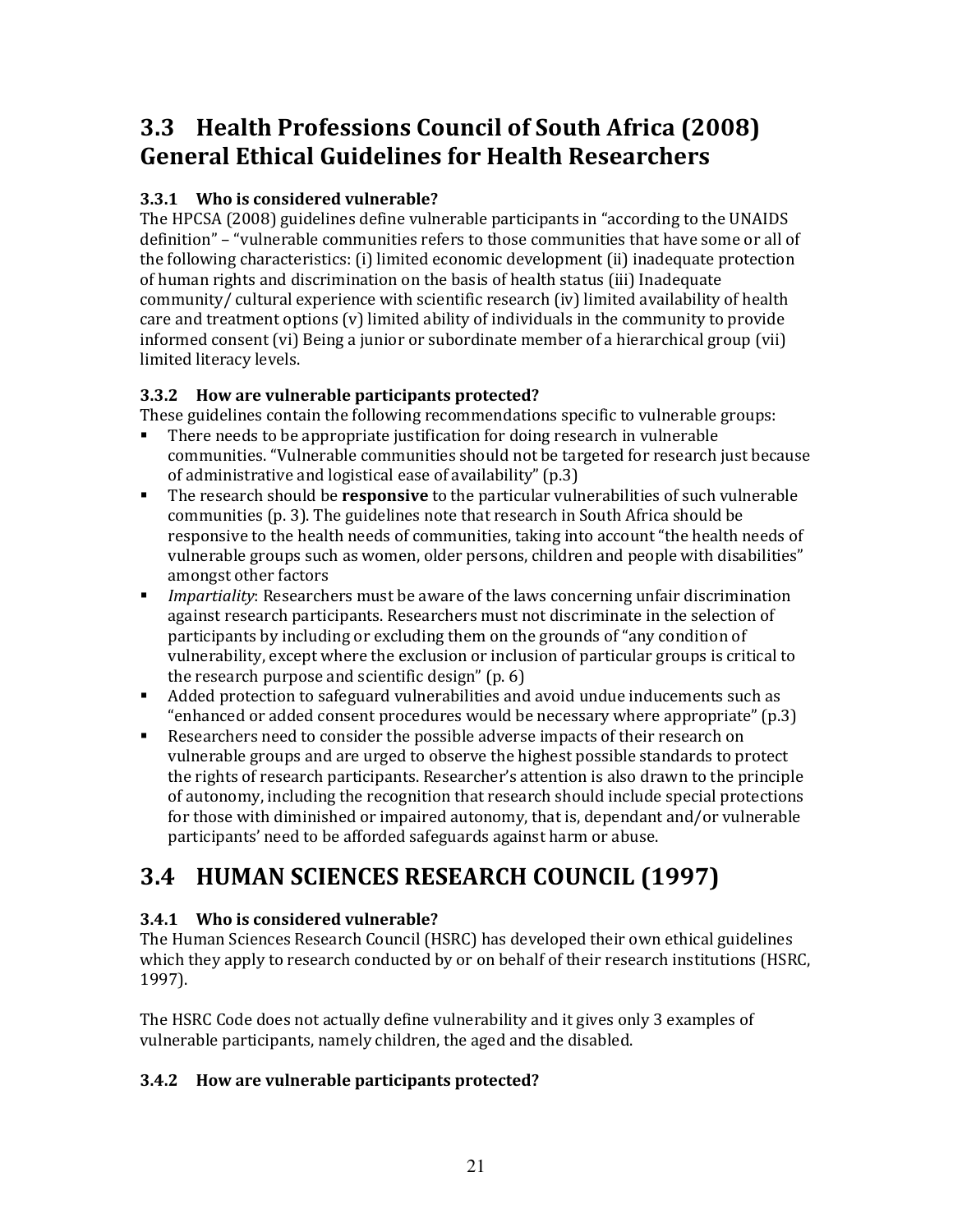## 3.3 Health Professions Council of South Africa (2008) General Ethical Guidelines for Health Researchers

#### 3.3.1 Who is considered vulnerable?

The HPCSA (2008) guidelines define vulnerable participants in "according to the UNAIDS definition" – "vulnerable communities refers to those communities that have some or all of the following characteristics: (i) limited economic development (ii) inadequate protection of human rights and discrimination on the basis of health status (iii) Inadequate community/ cultural experience with scientific research (iv) limited availability of health care and treatment options (v) limited ability of individuals in the community to provide informed consent (vi) Being a junior or subordinate member of a hierarchical group (vii) limited literacy levels.

#### 3.3.2 How are vulnerable participants protected?

These guidelines contain the following recommendations specific to vulnerable groups:

- There needs to be appropriate justification for doing research in vulnerable communities. "Vulnerable communities should not be targeted for research just because of administrative and logistical ease of availability" (p.3)
- The research should be **responsive** to the particular vulnerabilities of such vulnerable communities (p. 3). The guidelines note that research in South Africa should be responsive to the health needs of communities, taking into account "the health needs of vulnerable groups such as women, older persons, children and people with disabilities" amongst other factors
- **IMPARE 19.5 Impartiality:** Researchers must be aware of the laws concerning unfair discrimination against research participants. Researchers must not discriminate in the selection of participants by including or excluding them on the grounds of "any condition of vulnerability, except where the exclusion or inclusion of particular groups is critical to the research purpose and scientific design" (p. 6)
- Added protection to safeguard vulnerabilities and avoid undue inducements such as "enhanced or added consent procedures would be necessary where appropriate" (p.3)
- Researchers need to consider the possible adverse impacts of their research on vulnerable groups and are urged to observe the highest possible standards to protect the rights of research participants. Researcher's attention is also drawn to the principle of autonomy, including the recognition that research should include special protections for those with diminished or impaired autonomy, that is, dependant and/or vulnerable participants' need to be afforded safeguards against harm or abuse.

## 3.4 HUMAN SCIENCES RESEARCH COUNCIL (1997)

### 3.4.1 Who is considered vulnerable?

The Human Sciences Research Council (HSRC) has developed their own ethical guidelines which they apply to research conducted by or on behalf of their research institutions (HSRC, 1997).

The HSRC Code does not actually define vulnerability and it gives only 3 examples of vulnerable participants, namely children, the aged and the disabled.

### 3.4.2 How are vulnerable participants protected?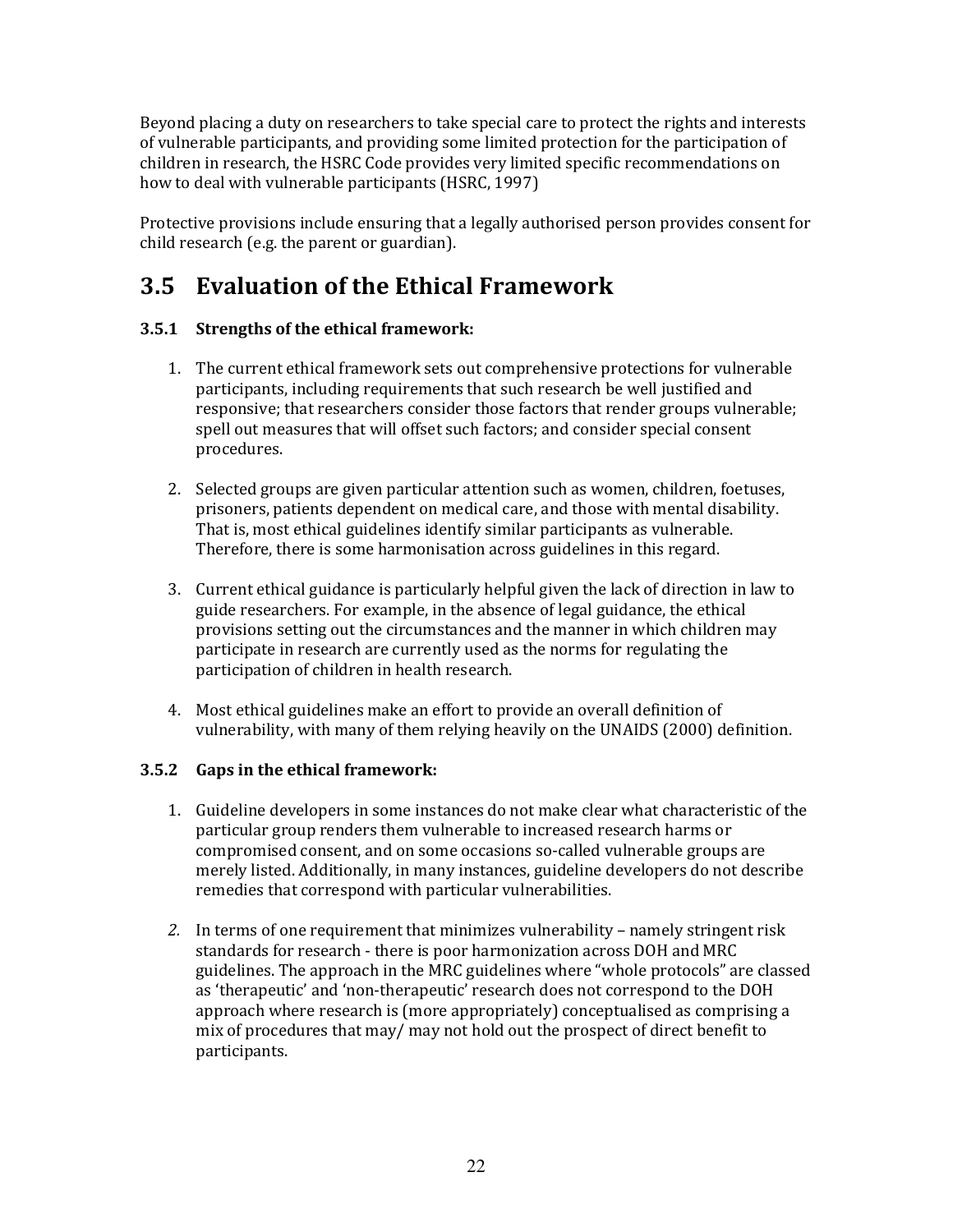Beyond placing a duty on researchers to take special care to protect the rights and interests of vulnerable participants, and providing some limited protection for the participation of children in research, the HSRC Code provides very limited specific recommendations on how to deal with vulnerable participants (HSRC, 1997)

Protective provisions include ensuring that a legally authorised person provides consent for child research (e.g. the parent or guardian).

## 3.5 Evaluation of the Ethical Framework

#### 3.5.1 Strengths of the ethical framework:

- 1. The current ethical framework sets out comprehensive protections for vulnerable participants, including requirements that such research be well justified and responsive; that researchers consider those factors that render groups vulnerable; spell out measures that will offset such factors; and consider special consent procedures.
- 2. Selected groups are given particular attention such as women, children, foetuses, prisoners, patients dependent on medical care, and those with mental disability. That is, most ethical guidelines identify similar participants as vulnerable. Therefore, there is some harmonisation across guidelines in this regard.
- 3. Current ethical guidance is particularly helpful given the lack of direction in law to guide researchers. For example, in the absence of legal guidance, the ethical provisions setting out the circumstances and the manner in which children may participate in research are currently used as the norms for regulating the participation of children in health research.
- 4. Most ethical guidelines make an effort to provide an overall definition of vulnerability, with many of them relying heavily on the UNAIDS (2000) definition.

#### 3.5.2 Gaps in the ethical framework:

- 1. Guideline developers in some instances do not make clear what characteristic of the particular group renders them vulnerable to increased research harms or compromised consent, and on some occasions so-called vulnerable groups are merely listed. Additionally, in many instances, guideline developers do not describe remedies that correspond with particular vulnerabilities.
- 2. In terms of one requirement that minimizes vulnerability namely stringent risk standards for research - there is poor harmonization across DOH and MRC guidelines. The approach in the MRC guidelines where "whole protocols" are classed as 'therapeutic' and 'non-therapeutic' research does not correspond to the DOH approach where research is (more appropriately) conceptualised as comprising a mix of procedures that may/ may not hold out the prospect of direct benefit to participants.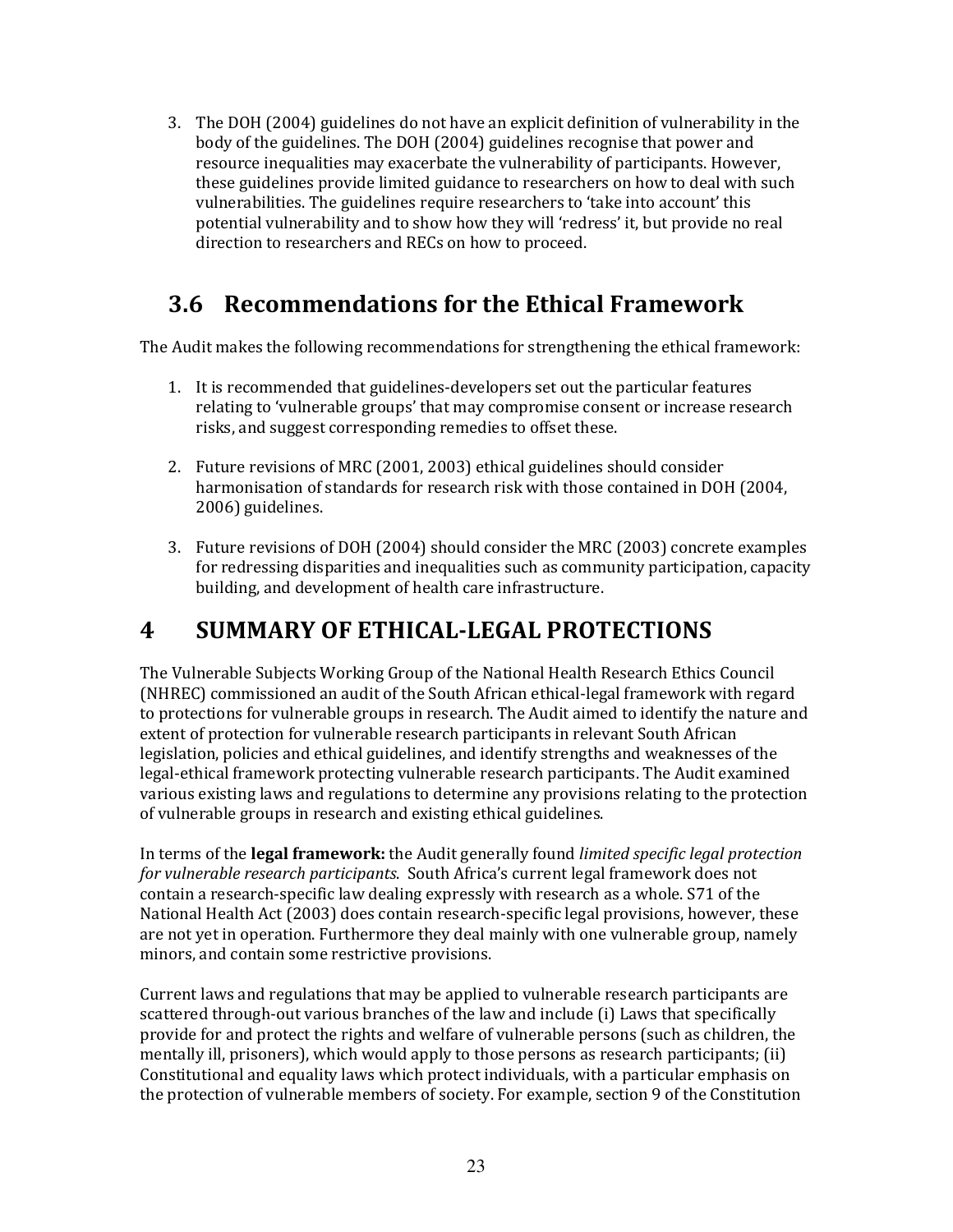3. The DOH (2004) guidelines do not have an explicit definition of vulnerability in the body of the guidelines. The DOH (2004) guidelines recognise that power and resource inequalities may exacerbate the vulnerability of participants. However, these guidelines provide limited guidance to researchers on how to deal with such vulnerabilities. The guidelines require researchers to 'take into account' this potential vulnerability and to show how they will 'redress' it, but provide no real direction to researchers and RECs on how to proceed.

## 3.6 Recommendations for the Ethical Framework

The Audit makes the following recommendations for strengthening the ethical framework:

- 1. It is recommended that guidelines-developers set out the particular features relating to 'vulnerable groups' that may compromise consent or increase research risks, and suggest corresponding remedies to offset these.
- 2. Future revisions of MRC (2001, 2003) ethical guidelines should consider harmonisation of standards for research risk with those contained in DOH (2004, 2006) guidelines.
- 3. Future revisions of DOH (2004) should consider the MRC (2003) concrete examples for redressing disparities and inequalities such as community participation, capacity building, and development of health care infrastructure.

## 4 SUMMARY OF ETHICAL-LEGAL PROTECTIONS

The Vulnerable Subjects Working Group of the National Health Research Ethics Council (NHREC) commissioned an audit of the South African ethical-legal framework with regard to protections for vulnerable groups in research. The Audit aimed to identify the nature and extent of protection for vulnerable research participants in relevant South African legislation, policies and ethical guidelines, and identify strengths and weaknesses of the legal-ethical framework protecting vulnerable research participants. The Audit examined various existing laws and regulations to determine any provisions relating to the protection of vulnerable groups in research and existing ethical guidelines.

In terms of the **legal framework**: the Audit generally found *limited specific legal protection* for vulnerable research participants. South Africa's current legal framework does not contain a research-specific law dealing expressly with research as a whole. S71 of the National Health Act (2003) does contain research-specific legal provisions, however, these are not yet in operation. Furthermore they deal mainly with one vulnerable group, namely minors, and contain some restrictive provisions.

Current laws and regulations that may be applied to vulnerable research participants are scattered through-out various branches of the law and include (i) Laws that specifically provide for and protect the rights and welfare of vulnerable persons (such as children, the mentally ill, prisoners), which would apply to those persons as research participants; (ii) Constitutional and equality laws which protect individuals, with a particular emphasis on the protection of vulnerable members of society. For example, section 9 of the Constitution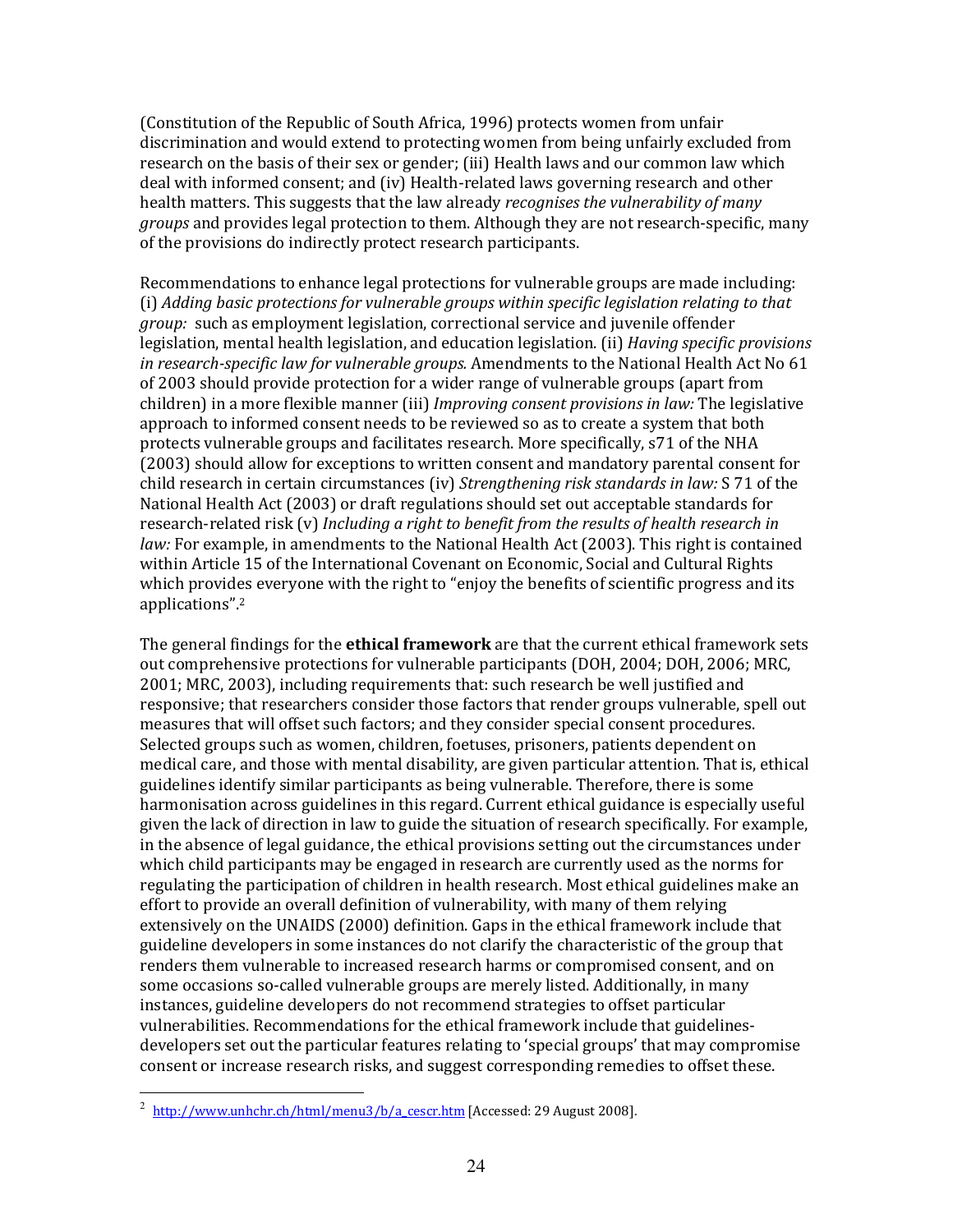(Constitution of the Republic of South Africa, 1996) protects women from unfair discrimination and would extend to protecting women from being unfairly excluded from research on the basis of their sex or gender; (iii) Health laws and our common law which deal with informed consent; and (iv) Health-related laws governing research and other health matters. This suggests that the law already *recognises the vulnerability of many* groups and provides legal protection to them. Although they are not research-specific, many of the provisions do indirectly protect research participants.

Recommendations to enhance legal protections for vulnerable groups are made including: (i) Adding basic protections for vulnerable groups within specific legislation relating to that group: such as employment legislation, correctional service and juvenile offender legislation, mental health legislation, and education legislation. (ii) *Having specific provisions* in research-specific law for vulnerable groups. Amendments to the National Health Act No 61 of 2003 should provide protection for a wider range of vulnerable groups (apart from children) in a more flexible manner (iii) Improving consent provisions in law: The legislative approach to informed consent needs to be reviewed so as to create a system that both protects vulnerable groups and facilitates research. More specifically, s71 of the NHA (2003) should allow for exceptions to written consent and mandatory parental consent for child research in certain circumstances (iv) Strengthening risk standards in law: S 71 of the National Health Act (2003) or draft regulations should set out acceptable standards for research-related risk (v) Including a right to benefit from the results of health research in law: For example, in amendments to the National Health Act (2003). This right is contained within Article 15 of the International Covenant on Economic, Social and Cultural Rights which provides everyone with the right to "enjoy the benefits of scientific progress and its applications".<sup>2</sup>

The general findings for the **ethical framework** are that the current ethical framework sets out comprehensive protections for vulnerable participants (DOH, 2004; DOH, 2006; MRC, 2001; MRC, 2003), including requirements that: such research be well justified and responsive; that researchers consider those factors that render groups vulnerable, spell out measures that will offset such factors; and they consider special consent procedures. Selected groups such as women, children, foetuses, prisoners, patients dependent on medical care, and those with mental disability, are given particular attention. That is, ethical guidelines identify similar participants as being vulnerable. Therefore, there is some harmonisation across guidelines in this regard. Current ethical guidance is especially useful given the lack of direction in law to guide the situation of research specifically. For example, in the absence of legal guidance, the ethical provisions setting out the circumstances under which child participants may be engaged in research are currently used as the norms for regulating the participation of children in health research. Most ethical guidelines make an effort to provide an overall definition of vulnerability, with many of them relying extensively on the UNAIDS (2000) definition. Gaps in the ethical framework include that guideline developers in some instances do not clarify the characteristic of the group that renders them vulnerable to increased research harms or compromised consent, and on some occasions so-called vulnerable groups are merely listed. Additionally, in many instances, guideline developers do not recommend strategies to offset particular vulnerabilities. Recommendations for the ethical framework include that guidelinesdevelopers set out the particular features relating to 'special groups' that may compromise consent or increase research risks, and suggest corresponding remedies to offset these.

l

<sup>&</sup>lt;sup>2</sup> http://www.unhchr.ch/html/menu3/b/a\_cescr.htm [Accessed: 29 August 2008].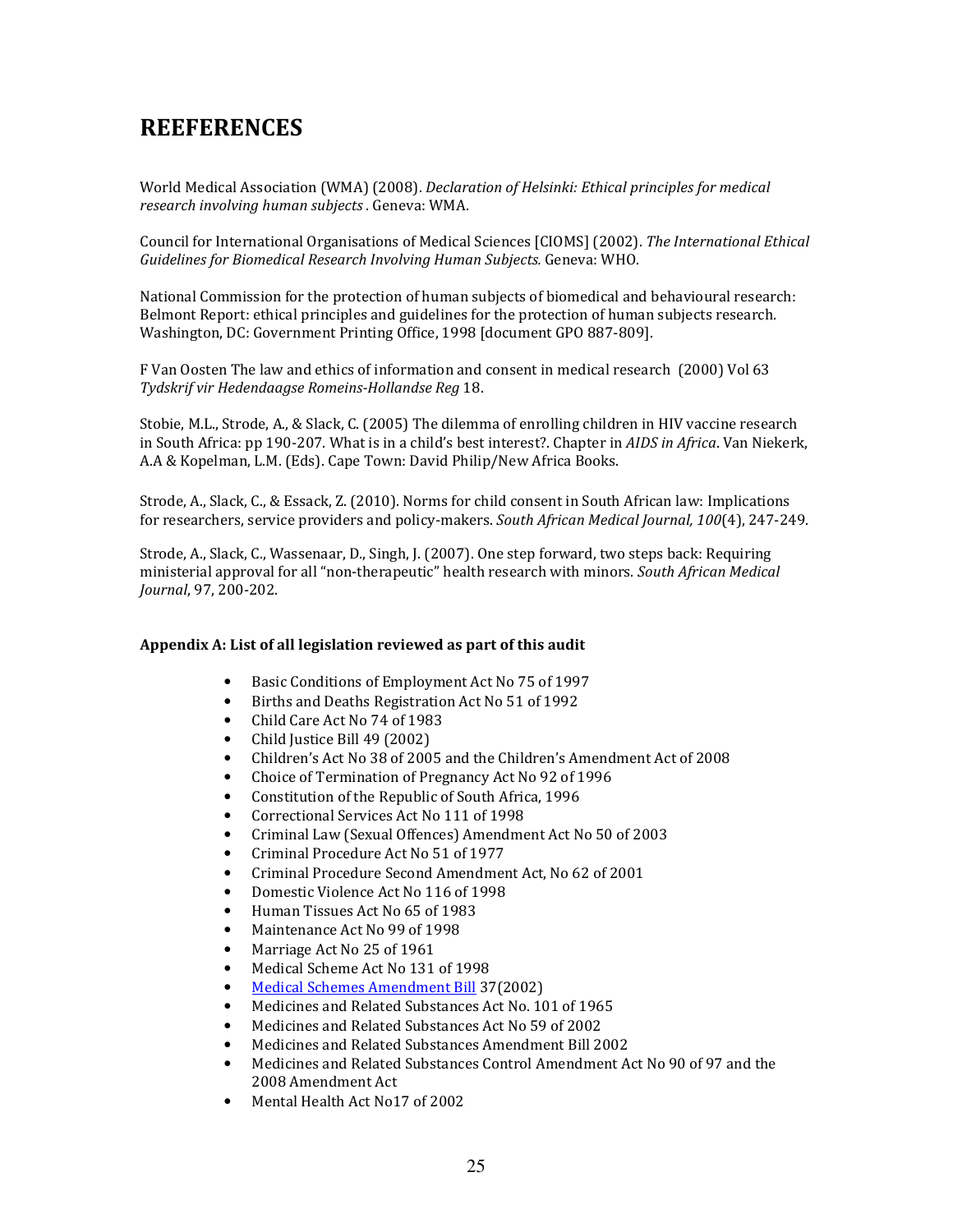## **REEFERENCES**

World Medical Association (WMA) (2008). Declaration of Helsinki: Ethical principles for medical research involving human subjects . Geneva: WMA.

Council for International Organisations of Medical Sciences [CIOMS] (2002). The International Ethical Guidelines for Biomedical Research Involving Human Subjects. Geneva: WHO.

National Commission for the protection of human subjects of biomedical and behavioural research: Belmont Report: ethical principles and guidelines for the protection of human subjects research. Washington, DC: Government Printing Office, 1998 [document GPO 887-809].

F Van Oosten The law and ethics of information and consent in medical research (2000) Vol 63 Tydskrif vir Hedendaagse Romeins-Hollandse Reg 18.

Stobie, M.L., Strode, A., & Slack, C. (2005) The dilemma of enrolling children in HIV vaccine research in South Africa: pp 190-207. What is in a child's best interest?. Chapter in AIDS in Africa. Van Niekerk, A.A & Kopelman, L.M. (Eds). Cape Town: David Philip/New Africa Books.

Strode, A., Slack, C., & Essack, Z. (2010). Norms for child consent in South African law: Implications for researchers, service providers and policy-makers. South African Medical Journal, 100(4), 247-249.

Strode, A., Slack, C., Wassenaar, D., Singh, J. (2007). One step forward, two steps back: Requiring ministerial approval for all "non-therapeutic" health research with minors. South African Medical Journal, 97, 200-202.

#### Appendix A: List of all legislation reviewed as part of this audit

- Basic Conditions of Employment Act No 75 of 1997
- Births and Deaths Registration Act No 51 of 1992
- Child Care Act No 74 of 1983
- Child Justice Bill 49 (2002)
- Children's Act No 38 of 2005 and the Children's Amendment Act of 2008
- Choice of Termination of Pregnancy Act No 92 of 1996
- Constitution of the Republic of South Africa, 1996
- Correctional Services Act No 111 of 1998
- Criminal Law (Sexual Offences) Amendment Act No 50 of 2003
- Criminal Procedure Act No 51 of 1977
- Criminal Procedure Second Amendment Act, No 62 of 2001
- Domestic Violence Act No 116 of 1998
- Human Tissues Act No 65 of 1983
- Maintenance Act No 99 of 1998
- Marriage Act No 25 of 1961
- Medical Scheme Act No 131 of 1998
- Medical Schemes Amendment Bill 37(2002)
- Medicines and Related Substances Act No. 101 of 1965
- Medicines and Related Substances Act No 59 of 2002
- Medicines and Related Substances Amendment Bill 2002
- Medicines and Related Substances Control Amendment Act No 90 of 97 and the 2008 Amendment Act
- Mental Health Act No17 of 2002